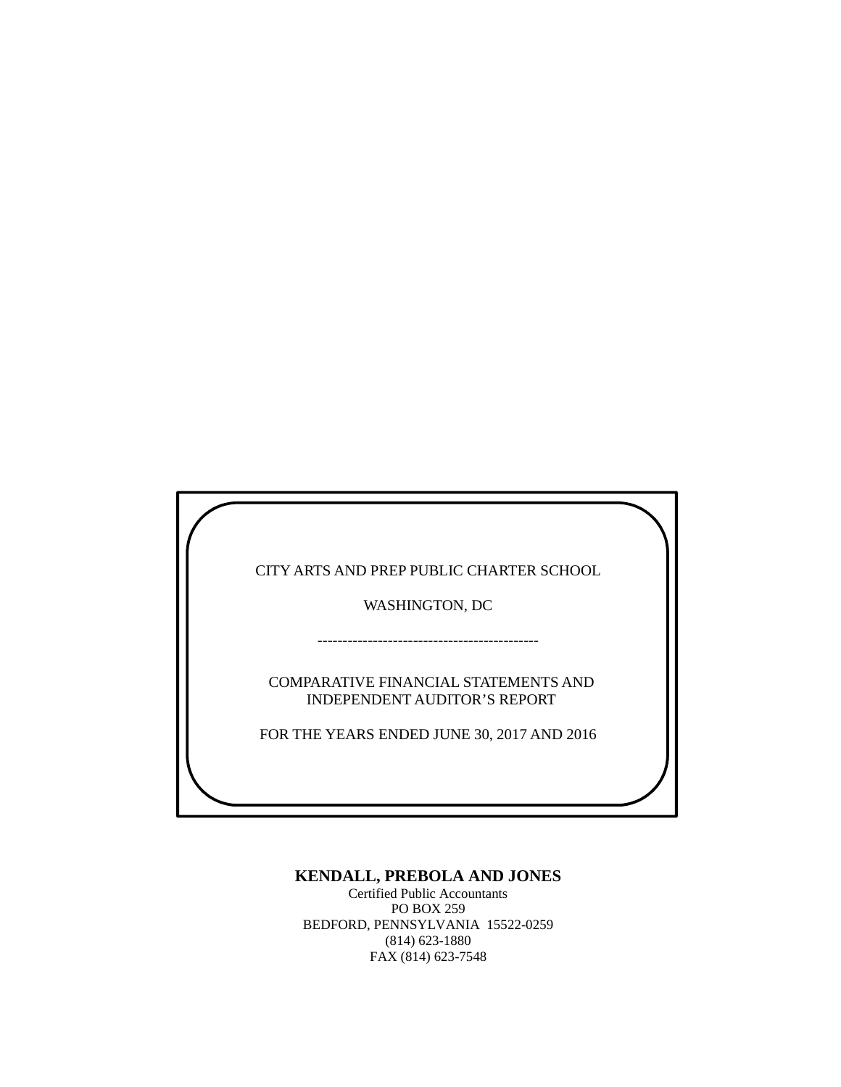CITY ARTS AND PREP PUBLIC CHARTER SCHOOL

WASHINGTON, DC

--------------------------------------------

COMPARATIVE FINANCIAL STATEMENTS AND INDEPENDENT AUDITOR'S REPORT

FOR THE YEARS ENDED JUNE 30, 2017 AND 2016

# **KENDALL, PREBOLA AND JONES**

Certified Public Accountants PO BOX 259 BEDFORD, PENNSYLVANIA 15522-0259 (814) 623-1880 FAX (814) 623-7548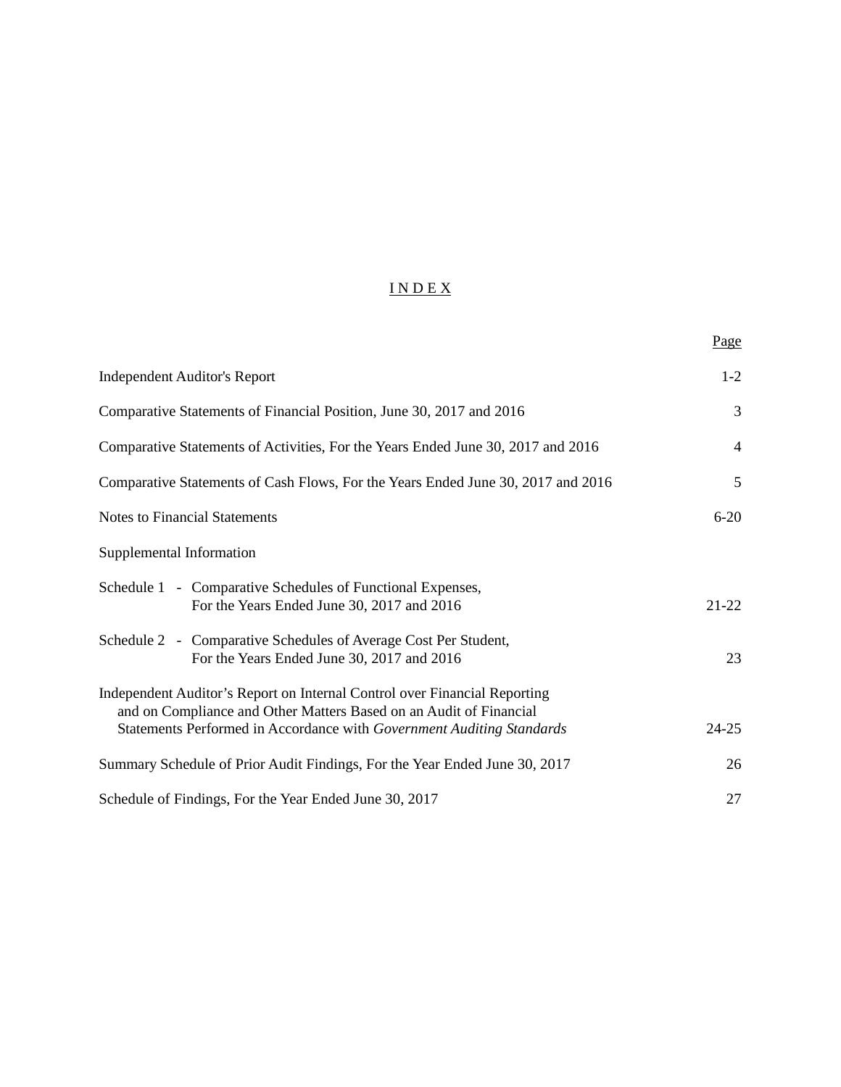# I N D E X

|                                                                                                                                                                                                                          | Page           |
|--------------------------------------------------------------------------------------------------------------------------------------------------------------------------------------------------------------------------|----------------|
| <b>Independent Auditor's Report</b>                                                                                                                                                                                      | $1-2$          |
| Comparative Statements of Financial Position, June 30, 2017 and 2016                                                                                                                                                     | 3              |
| Comparative Statements of Activities, For the Years Ended June 30, 2017 and 2016                                                                                                                                         | $\overline{4}$ |
| Comparative Statements of Cash Flows, For the Years Ended June 30, 2017 and 2016                                                                                                                                         | 5              |
| <b>Notes to Financial Statements</b>                                                                                                                                                                                     | $6 - 20$       |
| Supplemental Information                                                                                                                                                                                                 |                |
| Schedule 1 - Comparative Schedules of Functional Expenses,<br>For the Years Ended June 30, 2017 and 2016                                                                                                                 | $21 - 22$      |
| Schedule 2 - Comparative Schedules of Average Cost Per Student,<br>For the Years Ended June 30, 2017 and 2016                                                                                                            | 23             |
| Independent Auditor's Report on Internal Control over Financial Reporting<br>and on Compliance and Other Matters Based on an Audit of Financial<br>Statements Performed in Accordance with Government Auditing Standards | $24 - 25$      |
| Summary Schedule of Prior Audit Findings, For the Year Ended June 30, 2017                                                                                                                                               | 26             |
| Schedule of Findings, For the Year Ended June 30, 2017                                                                                                                                                                   | 27             |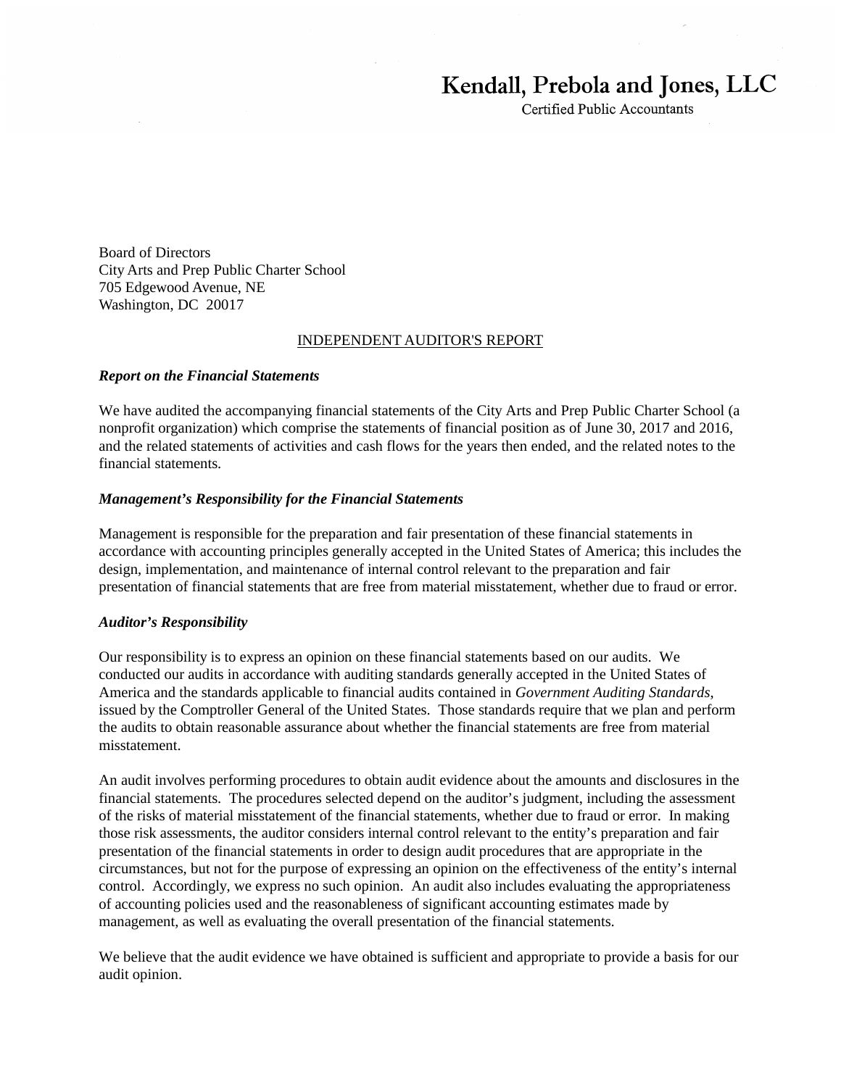# Kendall, Prebola and Jones, LLC

Certified Public Accountants

Board of Directors City Arts and Prep Public Charter School 705 Edgewood Avenue, NE Washington, DC 20017

#### INDEPENDENT AUDITOR'S REPORT

#### *Report on the Financial Statements*

We have audited the accompanying financial statements of the City Arts and Prep Public Charter School (a nonprofit organization) which comprise the statements of financial position as of June 30, 2017 and 2016, and the related statements of activities and cash flows for the years then ended, and the related notes to the financial statements.

#### *Management's Responsibility for the Financial Statements*

Management is responsible for the preparation and fair presentation of these financial statements in accordance with accounting principles generally accepted in the United States of America; this includes the design, implementation, and maintenance of internal control relevant to the preparation and fair presentation of financial statements that are free from material misstatement, whether due to fraud or error.

#### *Auditor's Responsibility*

Our responsibility is to express an opinion on these financial statements based on our audits. We conducted our audits in accordance with auditing standards generally accepted in the United States of America and the standards applicable to financial audits contained in *Government Auditing Standards*, issued by the Comptroller General of the United States. Those standards require that we plan and perform the audits to obtain reasonable assurance about whether the financial statements are free from material misstatement.

An audit involves performing procedures to obtain audit evidence about the amounts and disclosures in the financial statements. The procedures selected depend on the auditor's judgment, including the assessment of the risks of material misstatement of the financial statements, whether due to fraud or error. In making those risk assessments, the auditor considers internal control relevant to the entity's preparation and fair presentation of the financial statements in order to design audit procedures that are appropriate in the circumstances, but not for the purpose of expressing an opinion on the effectiveness of the entity's internal control. Accordingly, we express no such opinion. An audit also includes evaluating the appropriateness of accounting policies used and the reasonableness of significant accounting estimates made by management, as well as evaluating the overall presentation of the financial statements.

We believe that the audit evidence we have obtained is sufficient and appropriate to provide a basis for our audit opinion.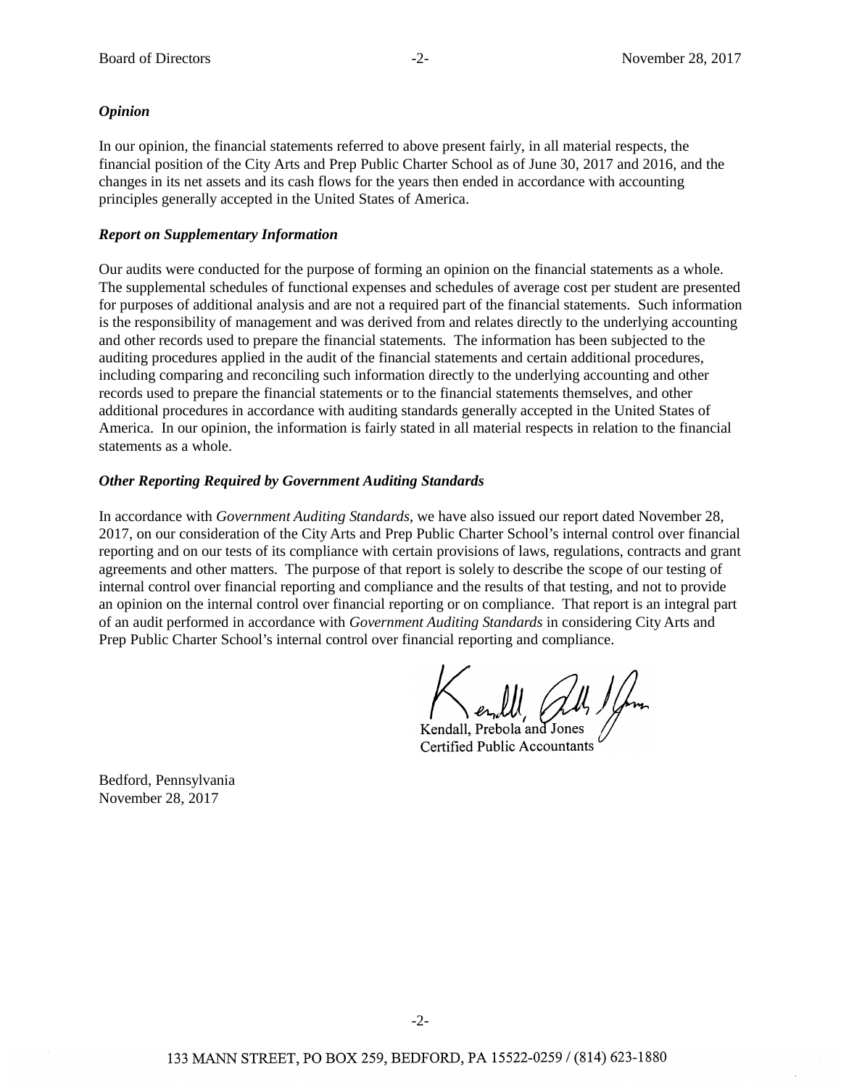#### *Opinion*

In our opinion, the financial statements referred to above present fairly, in all material respects, the financial position of the City Arts and Prep Public Charter School as of June 30, 2017 and 2016, and the changes in its net assets and its cash flows for the years then ended in accordance with accounting principles generally accepted in the United States of America.

#### *Report on Supplementary Information*

Our audits were conducted for the purpose of forming an opinion on the financial statements as a whole. The supplemental schedules of functional expenses and schedules of average cost per student are presented for purposes of additional analysis and are not a required part of the financial statements. Such information is the responsibility of management and was derived from and relates directly to the underlying accounting and other records used to prepare the financial statements. The information has been subjected to the auditing procedures applied in the audit of the financial statements and certain additional procedures, including comparing and reconciling such information directly to the underlying accounting and other records used to prepare the financial statements or to the financial statements themselves, and other additional procedures in accordance with auditing standards generally accepted in the United States of America. In our opinion, the information is fairly stated in all material respects in relation to the financial statements as a whole.

#### *Other Reporting Required by Government Auditing Standards*

In accordance with *Government Auditing Standards*, we have also issued our report dated November 28, 2017, on our consideration of the City Arts and Prep Public Charter School's internal control over financial reporting and on our tests of its compliance with certain provisions of laws, regulations, contracts and grant agreements and other matters. The purpose of that report is solely to describe the scope of our testing of internal control over financial reporting and compliance and the results of that testing, and not to provide an opinion on the internal control over financial reporting or on compliance. That report is an integral part of an audit performed in accordance with *Government Auditing Standards* in considering City Arts and Prep Public Charter School's internal control over financial reporting and compliance.

Kendall, Prebola and Jones

Certified Public Accountants

Bedford, Pennsylvania November 28, 2017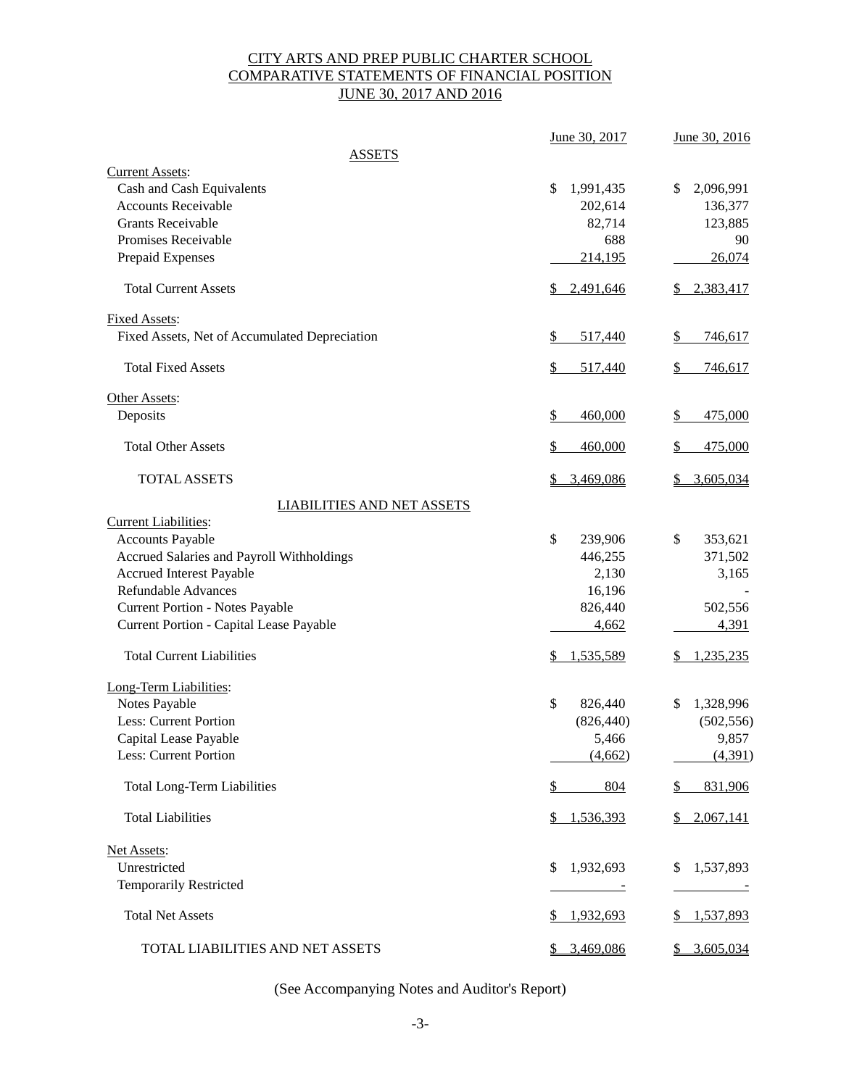# CITY ARTS AND PREP PUBLIC CHARTER SCHOOL COMPARATIVE STATEMENTS OF FINANCIAL POSITION JUNE 30, 2017 AND 2016

|                                               | June 30, 2017   | June 30, 2016            |
|-----------------------------------------------|-----------------|--------------------------|
| <b>ASSETS</b>                                 |                 |                          |
| <b>Current Assets:</b>                        |                 |                          |
| Cash and Cash Equivalents                     | \$<br>1,991,435 | \$<br>2,096,991          |
| <b>Accounts Receivable</b>                    | 202,614         | 136,377                  |
| <b>Grants Receivable</b>                      | 82,714          | 123,885                  |
| Promises Receivable                           | 688             | 90                       |
| Prepaid Expenses                              | 214,195         | 26,074                   |
| <b>Total Current Assets</b>                   | 2,491,646       | 2,383,417                |
| <b>Fixed Assets:</b>                          |                 |                          |
| Fixed Assets, Net of Accumulated Depreciation | \$<br>517,440   | \$<br>746,617            |
| <b>Total Fixed Assets</b>                     | \$<br>517,440   | \$<br>746,617            |
| Other Assets:                                 |                 |                          |
| Deposits                                      | \$<br>460,000   | $\frac{1}{2}$<br>475,000 |
| <b>Total Other Assets</b>                     | \$<br>460,000   | \$<br>475,000            |
| <b>TOTAL ASSETS</b>                           | \$<br>3,469,086 | 3,605,034<br>\$          |
| <b>LIABILITIES AND NET ASSETS</b>             |                 |                          |
| Current Liabilities:                          |                 |                          |
| <b>Accounts Payable</b>                       | \$<br>239,906   | \$<br>353,621            |
| Accrued Salaries and Payroll Withholdings     | 446,255         | 371,502                  |
| <b>Accrued Interest Payable</b>               | 2,130           | 3,165                    |
| <b>Refundable Advances</b>                    | 16,196          |                          |
| <b>Current Portion - Notes Payable</b>        | 826,440         | 502,556                  |
| Current Portion - Capital Lease Payable       | 4,662           | 4,391                    |
| <b>Total Current Liabilities</b>              | 1,535,589<br>\$ | 1,235,235<br>\$          |
| Long-Term Liabilities:                        |                 |                          |
| Notes Payable                                 | \$<br>826,440   | \$<br>1,328,996          |
| <b>Less: Current Portion</b>                  | (826, 440)      | (502, 556)               |
| Capital Lease Payable                         | 5,466           | 9,857                    |
| Less: Current Portion                         | (4,662)         | (4,391)                  |
| <b>Total Long-Term Liabilities</b>            | 804<br>S        | 831,906<br>S             |
| <b>Total Liabilities</b>                      | 1,536,393<br>\$ | 2,067,141<br>\$.         |
| Net Assets:                                   |                 |                          |
| Unrestricted                                  | \$<br>1,932,693 | 1,537,893<br>S.          |
| <b>Temporarily Restricted</b>                 |                 |                          |
| <b>Total Net Assets</b>                       | 1,932,693       | 1,537,893                |
| TOTAL LIABILITIES AND NET ASSETS              | 3,469,086       | 3,605,034<br>\$.         |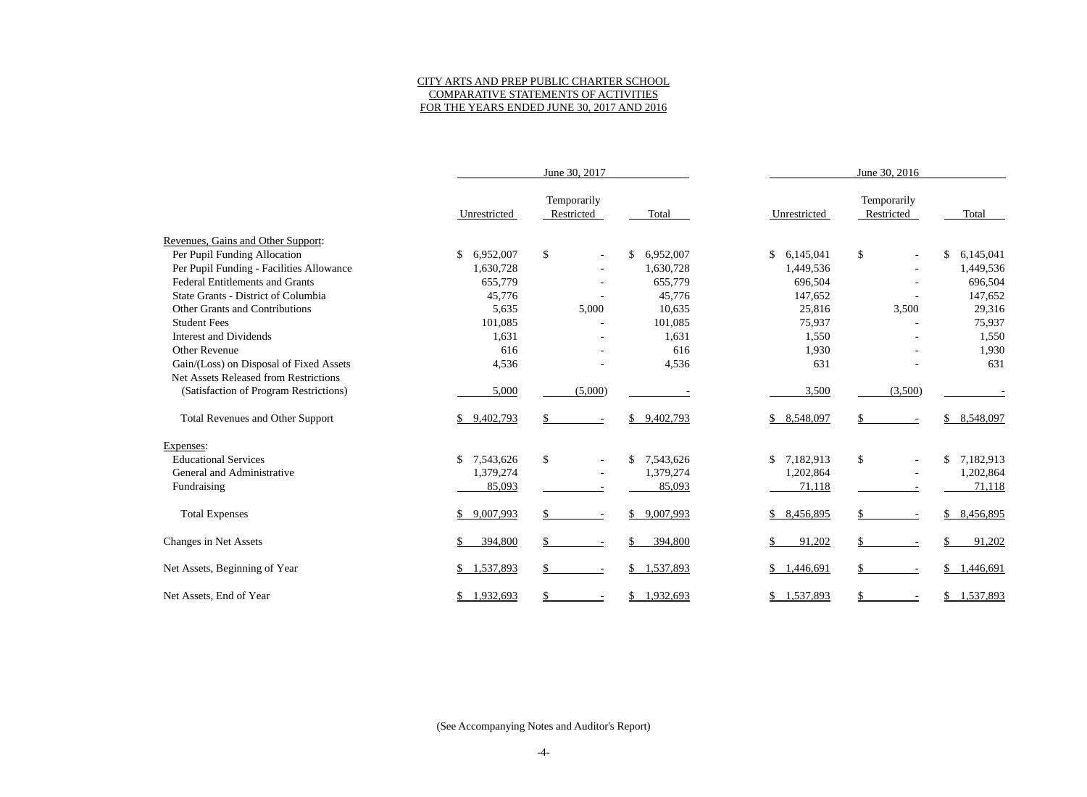### CITY ARTS AND PREP PUBLIC CHARTER SCHOOL COMPARATIVE STATEMENTS OF ACTIVITIES FOR THE YEARS ENDED JUNE 30, 2017 AND 2016

|                                              |                 | June 30, 2017             |                 | June 30, 2016   |                           |                 |  |
|----------------------------------------------|-----------------|---------------------------|-----------------|-----------------|---------------------------|-----------------|--|
|                                              | Unrestricted    | Temporarily<br>Restricted | Total           | Unrestricted    | Temporarily<br>Restricted | Total           |  |
|                                              |                 |                           |                 |                 |                           |                 |  |
| Revenues, Gains and Other Support:           |                 |                           |                 |                 |                           |                 |  |
| Per Pupil Funding Allocation                 | \$<br>6,952,007 | \$<br>$\blacksquare$      | \$<br>6,952,007 | \$<br>6,145,041 | \$                        | \$<br>6,145,041 |  |
| Per Pupil Funding - Facilities Allowance     | 1,630,728       |                           | 1,630,728       | 1,449,536       |                           | 1,449,536       |  |
| <b>Federal Entitlements and Grants</b>       | 655,779         |                           | 655,779         | 696,504         |                           | 696,504         |  |
| <b>State Grants - District of Columbia</b>   | 45,776          |                           | 45,776          | 147,652         |                           | 147,652         |  |
| Other Grants and Contributions               | 5,635           | 5,000                     | 10,635          | 25,816          | 3,500                     | 29,316          |  |
| <b>Student Fees</b>                          | 101,085         |                           | 101,085         | 75,937          |                           | 75,937          |  |
| <b>Interest and Dividends</b>                | 1,631           |                           | 1,631           | 1,550           |                           | 1,550           |  |
| <b>Other Revenue</b>                         | 616             |                           | 616             | 1,930           |                           | 1,930           |  |
| Gain/(Loss) on Disposal of Fixed Assets      | 4,536           |                           | 4,536           | 631             |                           | 631             |  |
| <b>Net Assets Released from Restrictions</b> |                 |                           |                 |                 |                           |                 |  |
| (Satisfaction of Program Restrictions)       | 5,000           | (5,000)                   |                 | 3,500           | (3,500)                   |                 |  |
| <b>Total Revenues and Other Support</b>      | 9,402,793<br>S. | \$                        | \$<br>9,402,793 | \$8,548,097     |                           | \$<br>8,548,097 |  |
| Expenses:                                    |                 |                           |                 |                 |                           |                 |  |
| <b>Educational Services</b>                  | \$<br>7,543,626 | \$                        | \$<br>7,543,626 | 7,182,913<br>\$ | $\frac{1}{2}$             | \$<br>7,182,913 |  |
| General and Administrative                   | 1,379,274       |                           | 1,379,274       | 1,202,864       |                           | 1,202,864       |  |
| Fundraising                                  | 85,093          |                           | 85,093          | 71,118          |                           | 71,118          |  |
| <b>Total Expenses</b>                        | 9,007,993       |                           | 9,007,993<br>\$ | \$8,456,895     |                           | \$<br>8,456,895 |  |
| <b>Changes in Net Assets</b>                 | 394,800         | \$                        | 394,800         | 91,202          |                           | 91,202          |  |
| Net Assets, Beginning of Year                | 1,537,893       | \$                        | \$<br>1,537,893 | 1,446,691       |                           | \$<br>1,446,691 |  |
| Net Assets, End of Year                      | 1,932,693<br>\$ | \$                        | 1,932,693       | 1,537,893<br>\$ |                           | 1,537,893<br>\$ |  |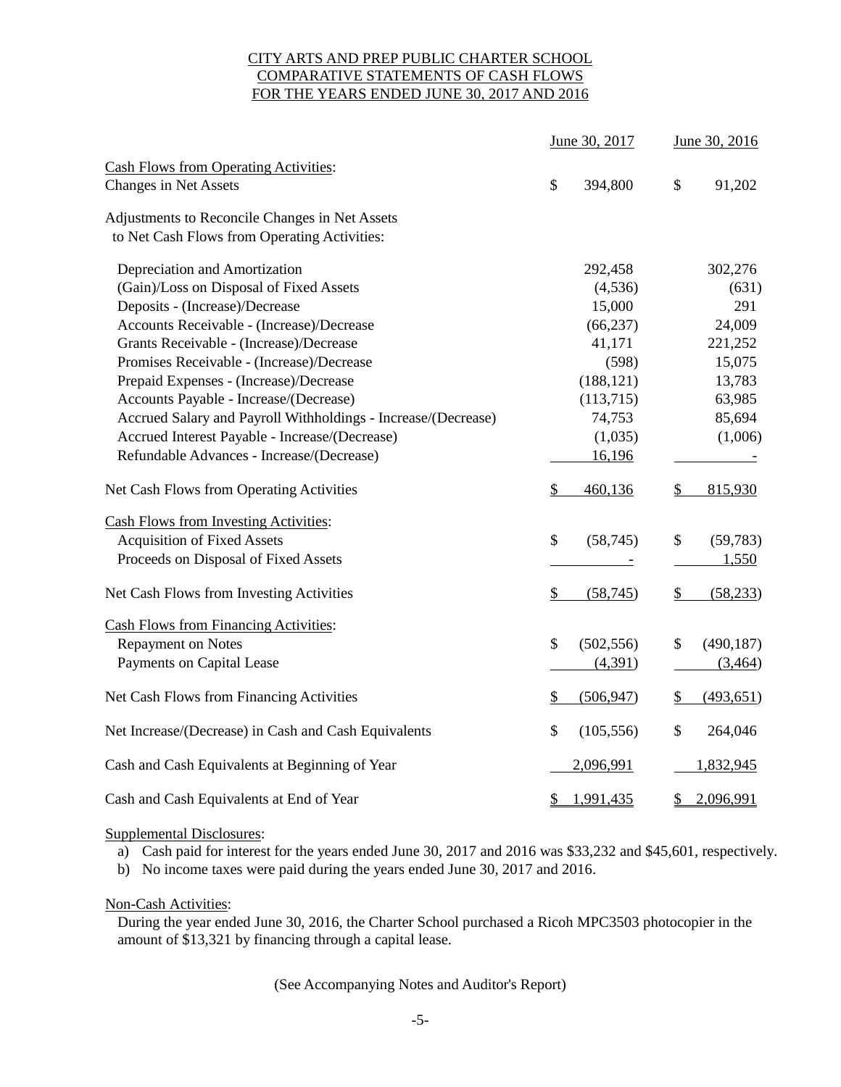# CITY ARTS AND PREP PUBLIC CHARTER SCHOOL COMPARATIVE STATEMENTS OF CASH FLOWS FOR THE YEARS ENDED JUNE 30, 2017 AND 2016

|                                                                                                |               | June 30, 2017 |               | June 30, 2016 |  |
|------------------------------------------------------------------------------------------------|---------------|---------------|---------------|---------------|--|
| <b>Cash Flows from Operating Activities:</b>                                                   |               |               |               |               |  |
| <b>Changes in Net Assets</b>                                                                   | $\mathcal{S}$ | 394,800       | \$            | 91,202        |  |
| Adjustments to Reconcile Changes in Net Assets<br>to Net Cash Flows from Operating Activities: |               |               |               |               |  |
|                                                                                                |               |               |               |               |  |
| Depreciation and Amortization                                                                  |               | 292,458       |               | 302,276       |  |
| (Gain)/Loss on Disposal of Fixed Assets                                                        |               | (4,536)       |               | (631)         |  |
| Deposits - (Increase)/Decrease                                                                 |               | 15,000        |               | 291           |  |
| Accounts Receivable - (Increase)/Decrease                                                      |               | (66, 237)     |               | 24,009        |  |
| Grants Receivable - (Increase)/Decrease                                                        |               | 41,171        |               | 221,252       |  |
| Promises Receivable - (Increase)/Decrease                                                      |               | (598)         |               | 15,075        |  |
| Prepaid Expenses - (Increase)/Decrease                                                         |               | (188, 121)    |               | 13,783        |  |
| Accounts Payable - Increase/(Decrease)                                                         |               | (113, 715)    |               | 63,985        |  |
| Accrued Salary and Payroll Withholdings - Increase/(Decrease)                                  |               | 74,753        |               | 85,694        |  |
| Accrued Interest Payable - Increase/(Decrease)                                                 |               | (1,035)       |               | (1,006)       |  |
| Refundable Advances - Increase/(Decrease)                                                      |               | 16,196        |               |               |  |
| Net Cash Flows from Operating Activities                                                       | \$            | 460,136       | \$            | 815,930       |  |
| <b>Cash Flows from Investing Activities:</b>                                                   |               |               |               |               |  |
| <b>Acquisition of Fixed Assets</b>                                                             | \$            | (58, 745)     | \$            | (59, 783)     |  |
| Proceeds on Disposal of Fixed Assets                                                           |               |               |               | 1,550         |  |
| Net Cash Flows from Investing Activities                                                       | \$            | (58, 745)     | \$            | (58, 233)     |  |
| <b>Cash Flows from Financing Activities:</b>                                                   |               |               |               |               |  |
| Repayment on Notes                                                                             | \$            | (502, 556)    | \$            | (490, 187)    |  |
| Payments on Capital Lease                                                                      |               | (4,391)       |               | (3,464)       |  |
| Net Cash Flows from Financing Activities                                                       | $\frac{1}{2}$ | (506, 947)    | $\frac{1}{2}$ | (493, 651)    |  |
| Net Increase/(Decrease) in Cash and Cash Equivalents                                           | \$            | (105, 556)    | \$            | 264,046       |  |
| Cash and Cash Equivalents at Beginning of Year                                                 |               | 2,096,991     |               | 1,832,945     |  |
| Cash and Cash Equivalents at End of Year                                                       | \$            | 1,991,435     | \$            | 2,096,991     |  |

#### Supplemental Disclosures:

- a) Cash paid for interest for the years ended June 30, 2017 and 2016 was \$33,232 and \$45,601, respectively.
- b) No income taxes were paid during the years ended June 30, 2017 and 2016.

#### Non-Cash Activities:

During the year ended June 30, 2016, the Charter School purchased a Ricoh MPC3503 photocopier in the amount of \$13,321 by financing through a capital lease.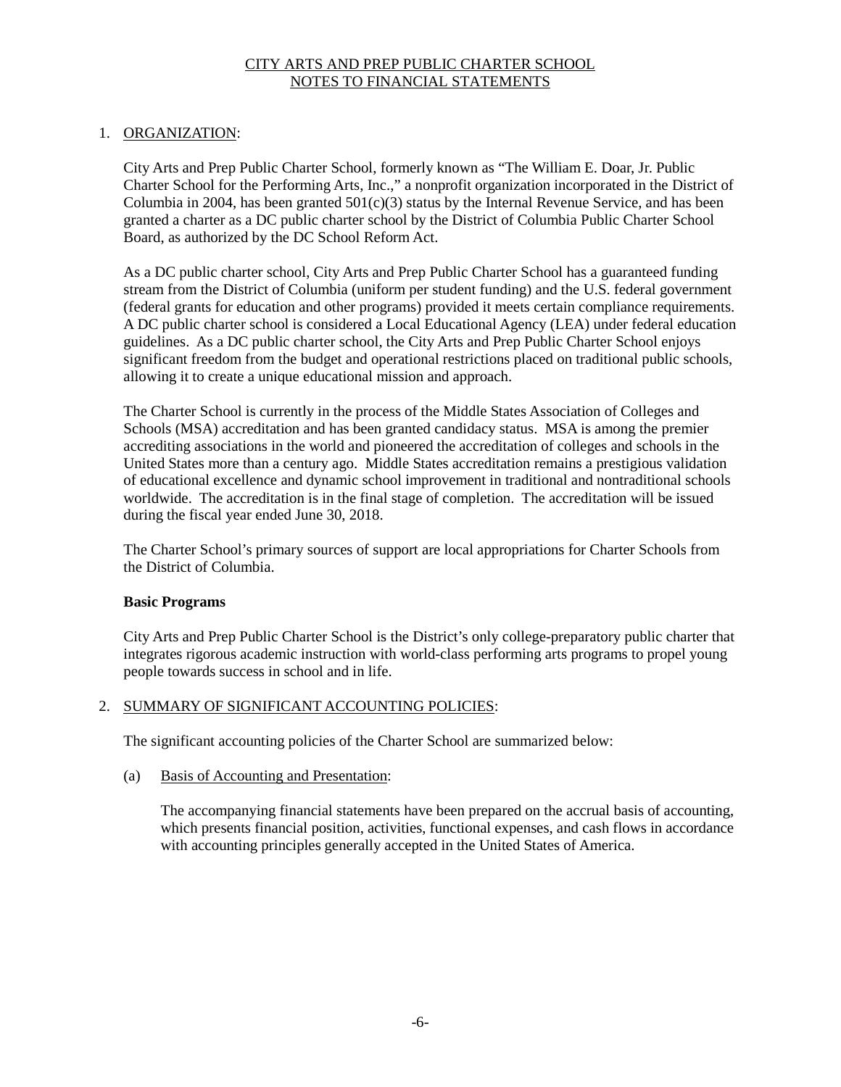# 1. ORGANIZATION:

City Arts and Prep Public Charter School, formerly known as "The William E. Doar, Jr. Public Charter School for the Performing Arts, Inc.," a nonprofit organization incorporated in the District of Columbia in 2004, has been granted  $501(c)(3)$  status by the Internal Revenue Service, and has been granted a charter as a DC public charter school by the District of Columbia Public Charter School Board, as authorized by the DC School Reform Act.

As a DC public charter school, City Arts and Prep Public Charter School has a guaranteed funding stream from the District of Columbia (uniform per student funding) and the U.S. federal government (federal grants for education and other programs) provided it meets certain compliance requirements. A DC public charter school is considered a Local Educational Agency (LEA) under federal education guidelines. As a DC public charter school, the City Arts and Prep Public Charter School enjoys significant freedom from the budget and operational restrictions placed on traditional public schools, allowing it to create a unique educational mission and approach.

The Charter School is currently in the process of the Middle States Association of Colleges and Schools (MSA) accreditation and has been granted candidacy status. MSA is among the premier accrediting associations in the world and pioneered the accreditation of colleges and schools in the United States more than a century ago. Middle States accreditation remains a prestigious validation of educational excellence and dynamic school improvement in traditional and nontraditional schools worldwide. The accreditation is in the final stage of completion. The accreditation will be issued during the fiscal year ended June 30, 2018.

The Charter School's primary sources of support are local appropriations for Charter Schools from the District of Columbia.

### **Basic Programs**

City Arts and Prep Public Charter School is the District's only college-preparatory public charter that integrates rigorous academic instruction with world-class performing arts programs to propel young people towards success in school and in life.

### 2. SUMMARY OF SIGNIFICANT ACCOUNTING POLICIES:

The significant accounting policies of the Charter School are summarized below:

### (a) Basis of Accounting and Presentation:

The accompanying financial statements have been prepared on the accrual basis of accounting, which presents financial position, activities, functional expenses, and cash flows in accordance with accounting principles generally accepted in the United States of America.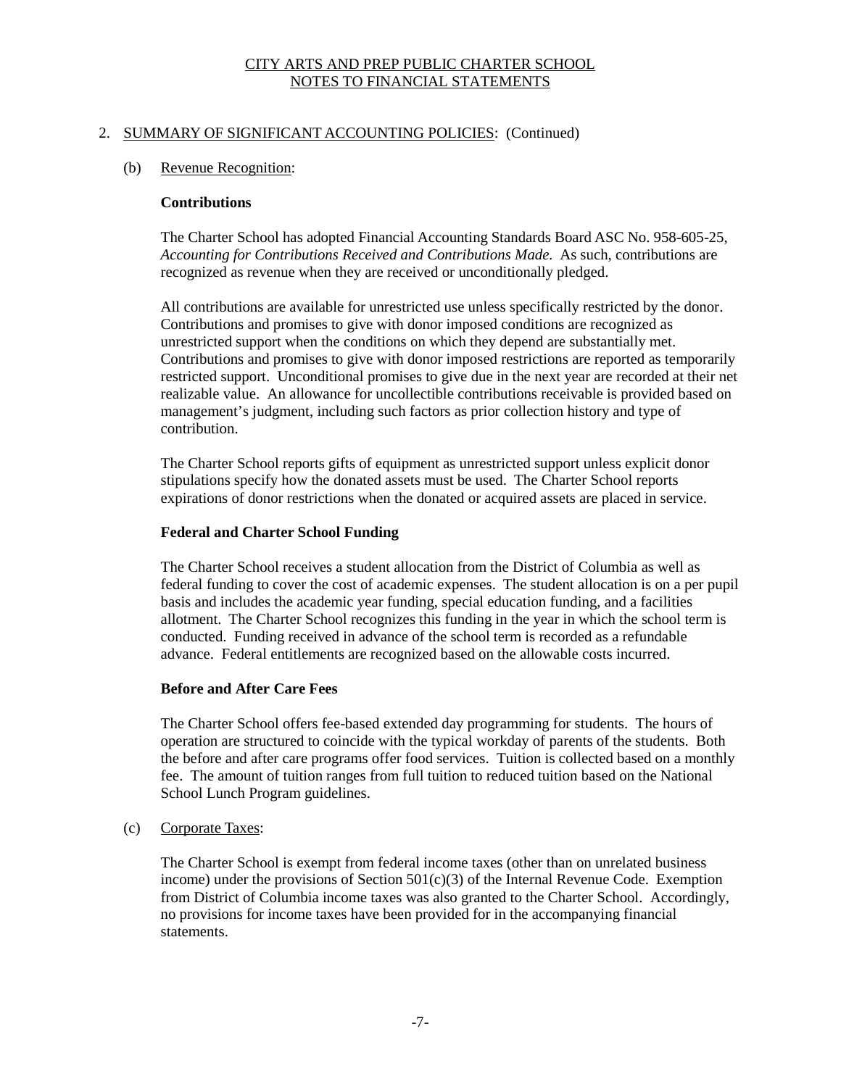# 2. SUMMARY OF SIGNIFICANT ACCOUNTING POLICIES: (Continued)

### (b) Revenue Recognition:

#### **Contributions**

The Charter School has adopted Financial Accounting Standards Board ASC No. 958-605-25, *Accounting for Contributions Received and Contributions Made.* As such, contributions are recognized as revenue when they are received or unconditionally pledged.

All contributions are available for unrestricted use unless specifically restricted by the donor. Contributions and promises to give with donor imposed conditions are recognized as unrestricted support when the conditions on which they depend are substantially met. Contributions and promises to give with donor imposed restrictions are reported as temporarily restricted support. Unconditional promises to give due in the next year are recorded at their net realizable value. An allowance for uncollectible contributions receivable is provided based on management's judgment, including such factors as prior collection history and type of contribution.

The Charter School reports gifts of equipment as unrestricted support unless explicit donor stipulations specify how the donated assets must be used. The Charter School reports expirations of donor restrictions when the donated or acquired assets are placed in service.

#### **Federal and Charter School Funding**

The Charter School receives a student allocation from the District of Columbia as well as federal funding to cover the cost of academic expenses. The student allocation is on a per pupil basis and includes the academic year funding, special education funding, and a facilities allotment. The Charter School recognizes this funding in the year in which the school term is conducted. Funding received in advance of the school term is recorded as a refundable advance. Federal entitlements are recognized based on the allowable costs incurred.

#### **Before and After Care Fees**

The Charter School offers fee-based extended day programming for students. The hours of operation are structured to coincide with the typical workday of parents of the students. Both the before and after care programs offer food services. Tuition is collected based on a monthly fee. The amount of tuition ranges from full tuition to reduced tuition based on the National School Lunch Program guidelines.

(c) Corporate Taxes:

The Charter School is exempt from federal income taxes (other than on unrelated business income) under the provisions of Section  $501(c)(3)$  of the Internal Revenue Code. Exemption from District of Columbia income taxes was also granted to the Charter School. Accordingly, no provisions for income taxes have been provided for in the accompanying financial statements.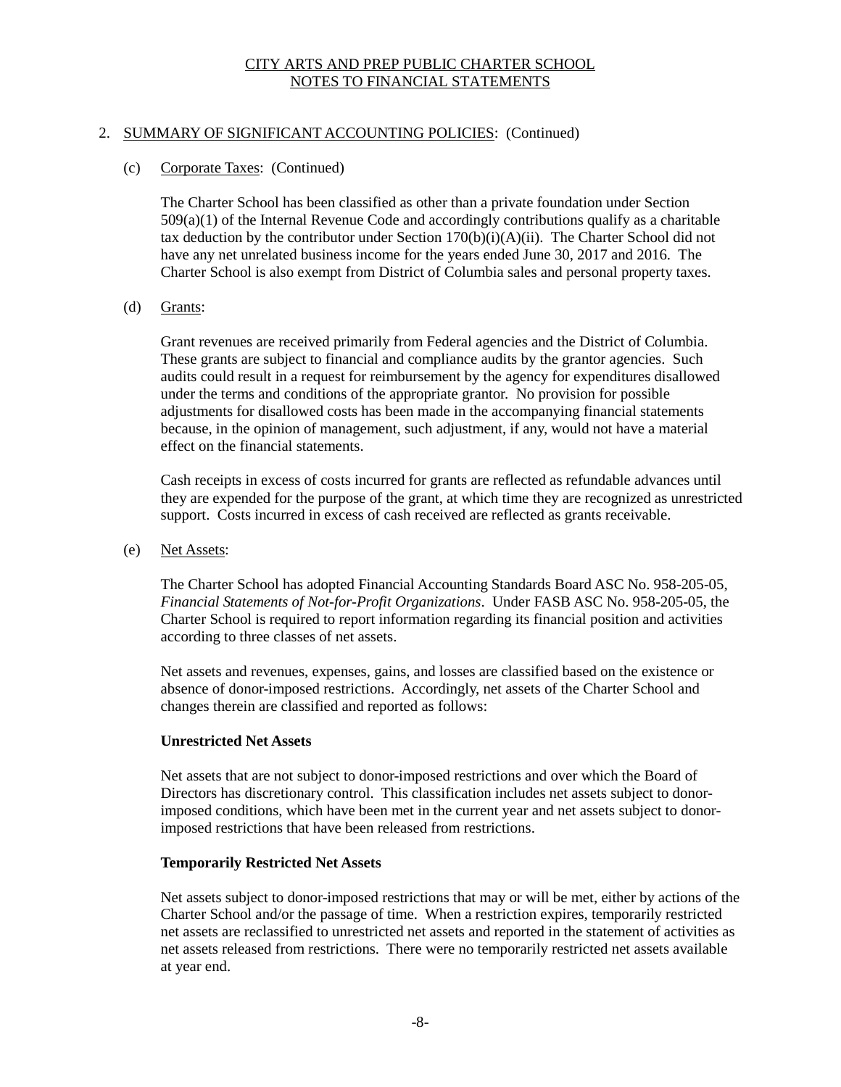# 2. SUMMARY OF SIGNIFICANT ACCOUNTING POLICIES: (Continued)

### (c) Corporate Taxes: (Continued)

The Charter School has been classified as other than a private foundation under Section  $509(a)(1)$  of the Internal Revenue Code and accordingly contributions qualify as a charitable tax deduction by the contributor under Section  $170(b)(i)(A)(ii)$ . The Charter School did not have any net unrelated business income for the years ended June 30, 2017 and 2016. The Charter School is also exempt from District of Columbia sales and personal property taxes.

### (d) Grants:

Grant revenues are received primarily from Federal agencies and the District of Columbia. These grants are subject to financial and compliance audits by the grantor agencies. Such audits could result in a request for reimbursement by the agency for expenditures disallowed under the terms and conditions of the appropriate grantor. No provision for possible adjustments for disallowed costs has been made in the accompanying financial statements because, in the opinion of management, such adjustment, if any, would not have a material effect on the financial statements.

Cash receipts in excess of costs incurred for grants are reflected as refundable advances until they are expended for the purpose of the grant, at which time they are recognized as unrestricted support. Costs incurred in excess of cash received are reflected as grants receivable.

#### (e) Net Assets:

The Charter School has adopted Financial Accounting Standards Board ASC No. 958-205-05, *Financial Statements of Not-for-Profit Organizations*. Under FASB ASC No. 958-205-05, the Charter School is required to report information regarding its financial position and activities according to three classes of net assets.

Net assets and revenues, expenses, gains, and losses are classified based on the existence or absence of donor-imposed restrictions. Accordingly, net assets of the Charter School and changes therein are classified and reported as follows:

### **Unrestricted Net Assets**

Net assets that are not subject to donor-imposed restrictions and over which the Board of Directors has discretionary control. This classification includes net assets subject to donorimposed conditions, which have been met in the current year and net assets subject to donorimposed restrictions that have been released from restrictions.

#### **Temporarily Restricted Net Assets**

Net assets subject to donor-imposed restrictions that may or will be met, either by actions of the Charter School and/or the passage of time. When a restriction expires, temporarily restricted net assets are reclassified to unrestricted net assets and reported in the statement of activities as net assets released from restrictions. There were no temporarily restricted net assets available at year end.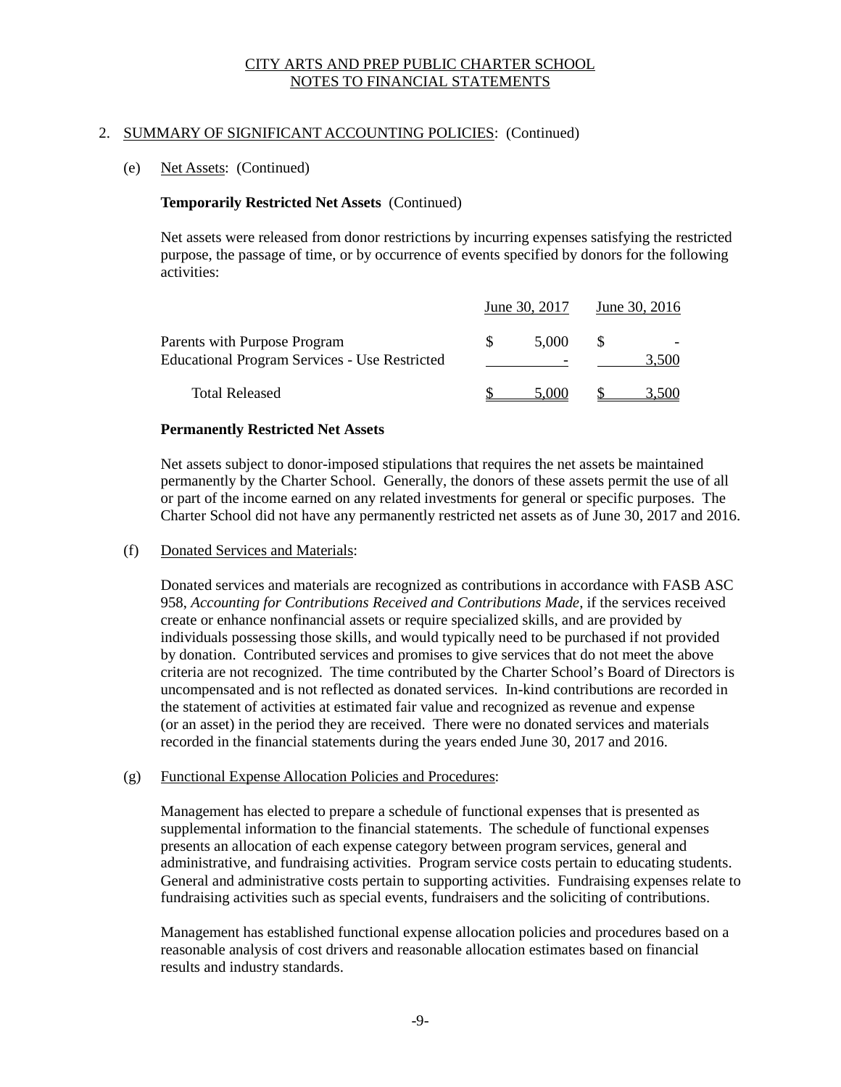# 2. SUMMARY OF SIGNIFICANT ACCOUNTING POLICIES: (Continued)

(e) Net Assets: (Continued)

# **Temporarily Restricted Net Assets** (Continued)

Net assets were released from donor restrictions by incurring expenses satisfying the restricted purpose, the passage of time, or by occurrence of events specified by donors for the following activities:

|                                                                                      | June 30, 2017 | June 30, 2016 |
|--------------------------------------------------------------------------------------|---------------|---------------|
| Parents with Purpose Program<br><b>Educational Program Services - Use Restricted</b> | 5,000         | 3.500         |
| <b>Total Released</b>                                                                | 5.000         | 3.500         |

### **Permanently Restricted Net Assets**

Net assets subject to donor-imposed stipulations that requires the net assets be maintained permanently by the Charter School. Generally, the donors of these assets permit the use of all or part of the income earned on any related investments for general or specific purposes. The Charter School did not have any permanently restricted net assets as of June 30, 2017 and 2016.

### (f) Donated Services and Materials:

Donated services and materials are recognized as contributions in accordance with FASB ASC 958, *Accounting for Contributions Received and Contributions Made*, if the services received create or enhance nonfinancial assets or require specialized skills, and are provided by individuals possessing those skills, and would typically need to be purchased if not provided by donation. Contributed services and promises to give services that do not meet the above criteria are not recognized. The time contributed by the Charter School's Board of Directors is uncompensated and is not reflected as donated services. In-kind contributions are recorded in the statement of activities at estimated fair value and recognized as revenue and expense (or an asset) in the period they are received. There were no donated services and materials recorded in the financial statements during the years ended June 30, 2017 and 2016.

#### (g) Functional Expense Allocation Policies and Procedures:

Management has elected to prepare a schedule of functional expenses that is presented as supplemental information to the financial statements. The schedule of functional expenses presents an allocation of each expense category between program services, general and administrative, and fundraising activities. Program service costs pertain to educating students. General and administrative costs pertain to supporting activities. Fundraising expenses relate to fundraising activities such as special events, fundraisers and the soliciting of contributions.

Management has established functional expense allocation policies and procedures based on a reasonable analysis of cost drivers and reasonable allocation estimates based on financial results and industry standards.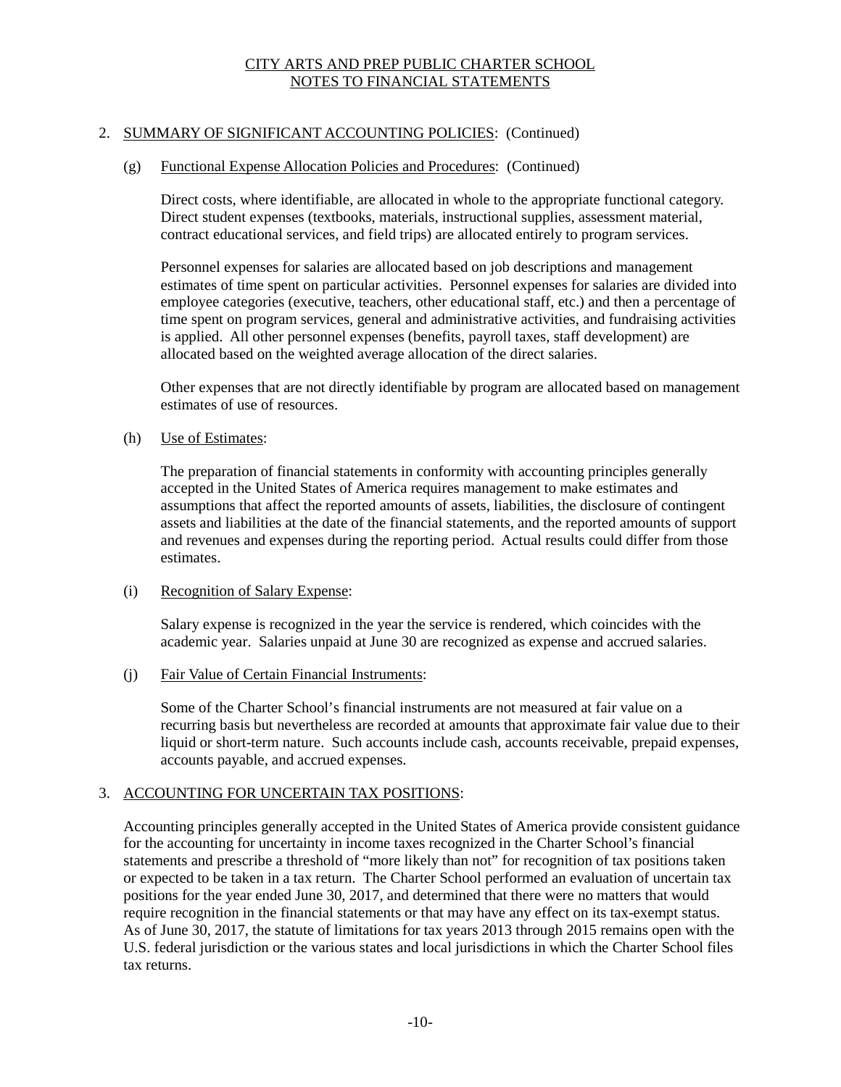# 2. SUMMARY OF SIGNIFICANT ACCOUNTING POLICIES: (Continued)

### (g) Functional Expense Allocation Policies and Procedures: (Continued)

Direct costs, where identifiable, are allocated in whole to the appropriate functional category. Direct student expenses (textbooks, materials, instructional supplies, assessment material, contract educational services, and field trips) are allocated entirely to program services.

Personnel expenses for salaries are allocated based on job descriptions and management estimates of time spent on particular activities. Personnel expenses for salaries are divided into employee categories (executive, teachers, other educational staff, etc.) and then a percentage of time spent on program services, general and administrative activities, and fundraising activities is applied. All other personnel expenses (benefits, payroll taxes, staff development) are allocated based on the weighted average allocation of the direct salaries.

Other expenses that are not directly identifiable by program are allocated based on management estimates of use of resources.

#### (h) Use of Estimates:

The preparation of financial statements in conformity with accounting principles generally accepted in the United States of America requires management to make estimates and assumptions that affect the reported amounts of assets, liabilities, the disclosure of contingent assets and liabilities at the date of the financial statements, and the reported amounts of support and revenues and expenses during the reporting period. Actual results could differ from those estimates.

#### (i) Recognition of Salary Expense:

Salary expense is recognized in the year the service is rendered, which coincides with the academic year. Salaries unpaid at June 30 are recognized as expense and accrued salaries.

(j) Fair Value of Certain Financial Instruments:

Some of the Charter School's financial instruments are not measured at fair value on a recurring basis but nevertheless are recorded at amounts that approximate fair value due to their liquid or short-term nature. Such accounts include cash, accounts receivable, prepaid expenses, accounts payable, and accrued expenses.

### 3. ACCOUNTING FOR UNCERTAIN TAX POSITIONS:

Accounting principles generally accepted in the United States of America provide consistent guidance for the accounting for uncertainty in income taxes recognized in the Charter School's financial statements and prescribe a threshold of "more likely than not" for recognition of tax positions taken or expected to be taken in a tax return. The Charter School performed an evaluation of uncertain tax positions for the year ended June 30, 2017, and determined that there were no matters that would require recognition in the financial statements or that may have any effect on its tax-exempt status. As of June 30, 2017, the statute of limitations for tax years 2013 through 2015 remains open with the U.S. federal jurisdiction or the various states and local jurisdictions in which the Charter School files tax returns.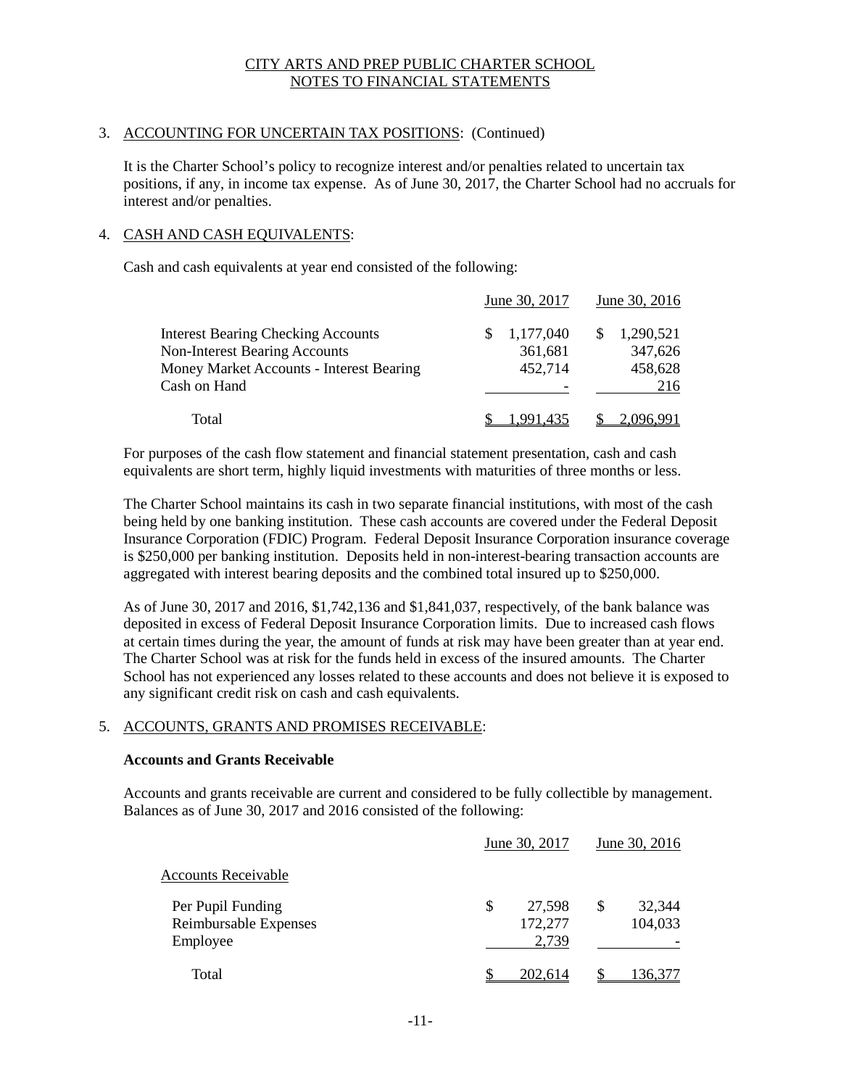# 3. ACCOUNTING FOR UNCERTAIN TAX POSITIONS: (Continued)

It is the Charter School's policy to recognize interest and/or penalties related to uncertain tax positions, if any, in income tax expense. As of June 30, 2017, the Charter School had no accruals for interest and/or penalties.

### 4. CASH AND CASH EQUIVALENTS:

Cash and cash equivalents at year end consisted of the following:

|                                                                                   | June 30, 2017             | June 30, 2016        |
|-----------------------------------------------------------------------------------|---------------------------|----------------------|
| <b>Interest Bearing Checking Accounts</b><br><b>Non-Interest Bearing Accounts</b> | 1,177,040<br>S<br>361,681 | 1,290,521<br>347,626 |
| Money Market Accounts - Interest Bearing<br>Cash on Hand                          | 452,714                   | 458,628<br>216       |
| Total                                                                             |                           | 7 UYA 99.            |

For purposes of the cash flow statement and financial statement presentation, cash and cash equivalents are short term, highly liquid investments with maturities of three months or less.

The Charter School maintains its cash in two separate financial institutions, with most of the cash being held by one banking institution. These cash accounts are covered under the Federal Deposit Insurance Corporation (FDIC) Program. Federal Deposit Insurance Corporation insurance coverage is \$250,000 per banking institution. Deposits held in non-interest-bearing transaction accounts are aggregated with interest bearing deposits and the combined total insured up to \$250,000.

As of June 30, 2017 and 2016, \$1,742,136 and \$1,841,037, respectively, of the bank balance was deposited in excess of Federal Deposit Insurance Corporation limits. Due to increased cash flows at certain times during the year, the amount of funds at risk may have been greater than at year end. The Charter School was at risk for the funds held in excess of the insured amounts. The Charter School has not experienced any losses related to these accounts and does not believe it is exposed to any significant credit risk on cash and cash equivalents.

### 5. ACCOUNTS, GRANTS AND PROMISES RECEIVABLE:

### **Accounts and Grants Receivable**

Accounts and grants receivable are current and considered to be fully collectible by management. Balances as of June 30, 2017 and 2016 consisted of the following:

|                                                        | June 30, 2017                    | June 30, 2016          |  |
|--------------------------------------------------------|----------------------------------|------------------------|--|
| <b>Accounts Receivable</b>                             |                                  |                        |  |
| Per Pupil Funding<br>Reimbursable Expenses<br>Employee | \$<br>27,598<br>172,277<br>2,739 | 32,344<br>S<br>104,033 |  |
| Total                                                  | 202.614                          | 36,377                 |  |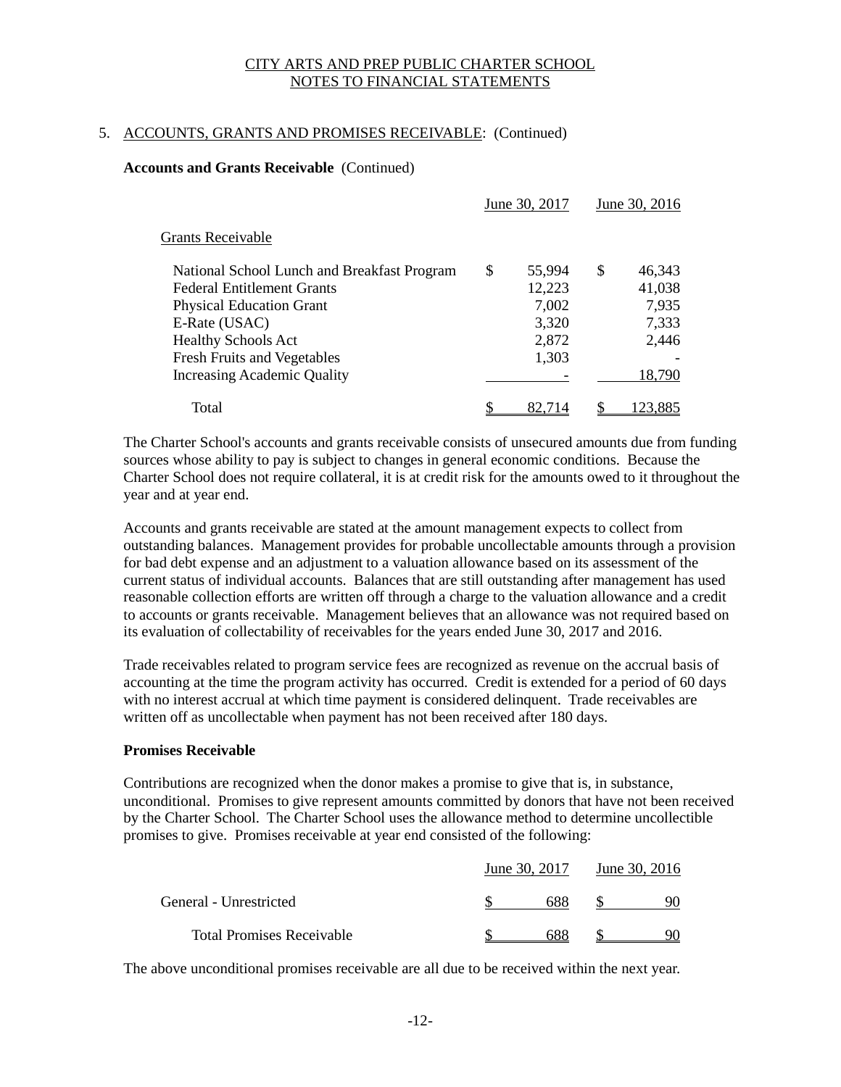# 5. ACCOUNTS, GRANTS AND PROMISES RECEIVABLE: (Continued)

### **Accounts and Grants Receivable** (Continued)

|                                             | June 30, 2017 |        | June 30, 2016 |         |
|---------------------------------------------|---------------|--------|---------------|---------|
| <b>Grants Receivable</b>                    |               |        |               |         |
| National School Lunch and Breakfast Program | \$            | 55,994 | S             | 46,343  |
| <b>Federal Entitlement Grants</b>           |               | 12,223 |               | 41,038  |
| <b>Physical Education Grant</b>             |               | 7,002  |               | 7,935   |
| E-Rate (USAC)                               |               | 3,320  |               | 7,333   |
| <b>Healthy Schools Act</b>                  |               | 2,872  |               | 2,446   |
| <b>Fresh Fruits and Vegetables</b>          |               | 1,303  |               |         |
| <b>Increasing Academic Quality</b>          |               |        |               | 18,790  |
| Total                                       |               | 82.714 |               | 123,885 |

The Charter School's accounts and grants receivable consists of unsecured amounts due from funding sources whose ability to pay is subject to changes in general economic conditions. Because the Charter School does not require collateral, it is at credit risk for the amounts owed to it throughout the year and at year end.

Accounts and grants receivable are stated at the amount management expects to collect from outstanding balances. Management provides for probable uncollectable amounts through a provision for bad debt expense and an adjustment to a valuation allowance based on its assessment of the current status of individual accounts. Balances that are still outstanding after management has used reasonable collection efforts are written off through a charge to the valuation allowance and a credit to accounts or grants receivable. Management believes that an allowance was not required based on its evaluation of collectability of receivables for the years ended June 30, 2017 and 2016.

Trade receivables related to program service fees are recognized as revenue on the accrual basis of accounting at the time the program activity has occurred. Credit is extended for a period of 60 days with no interest accrual at which time payment is considered delinquent. Trade receivables are written off as uncollectable when payment has not been received after 180 days.

### **Promises Receivable**

Contributions are recognized when the donor makes a promise to give that is, in substance, unconditional. Promises to give represent amounts committed by donors that have not been received by the Charter School. The Charter School uses the allowance method to determine uncollectible promises to give. Promises receivable at year end consisted of the following:

|                                  | June 30, 2017 | June 30, 2016 |
|----------------------------------|---------------|---------------|
| General - Unrestricted           | 688           | Y)            |
| <b>Total Promises Receivable</b> | 688           | чı            |

The above unconditional promises receivable are all due to be received within the next year.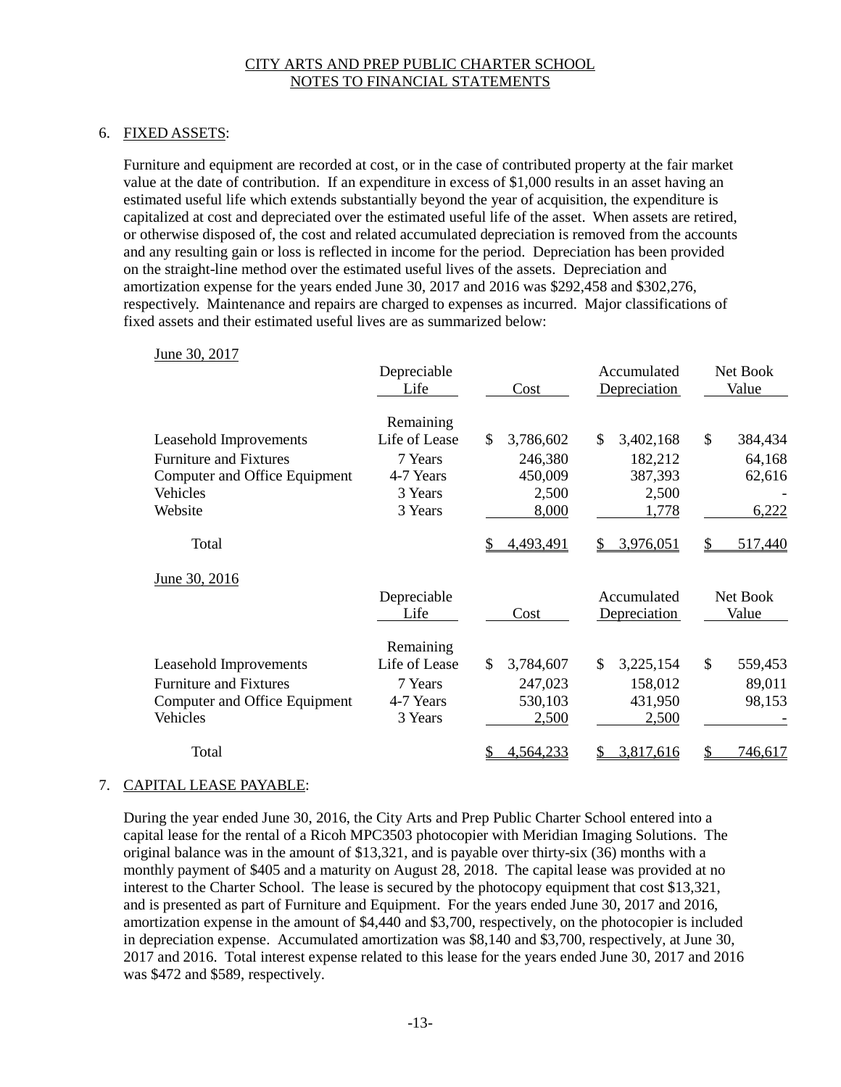# 6. FIXED ASSETS:

June 30, 2017

Furniture and equipment are recorded at cost, or in the case of contributed property at the fair market value at the date of contribution. If an expenditure in excess of \$1,000 results in an asset having an estimated useful life which extends substantially beyond the year of acquisition, the expenditure is capitalized at cost and depreciated over the estimated useful life of the asset. When assets are retired, or otherwise disposed of, the cost and related accumulated depreciation is removed from the accounts and any resulting gain or loss is reflected in income for the period. Depreciation has been provided on the straight-line method over the estimated useful lives of the assets. Depreciation and amortization expense for the years ended June 30, 2017 and 2016 was \$292,458 and \$302,276, respectively. Maintenance and repairs are charged to expenses as incurred. Major classifications of fixed assets and their estimated useful lives are as summarized below:

| $\frac{1}{2}$                                                                                        | Depreciable<br>Life                                           | Cost                                           | Accumulated<br>Depreciation                    | Net Book<br>Value                            |
|------------------------------------------------------------------------------------------------------|---------------------------------------------------------------|------------------------------------------------|------------------------------------------------|----------------------------------------------|
| Leasehold Improvements<br><b>Furniture and Fixtures</b><br>Computer and Office Equipment<br>Vehicles | Remaining<br>Life of Lease<br>7 Years<br>4-7 Years<br>3 Years | \$<br>3,786,602<br>246,380<br>450,009<br>2,500 | \$<br>3,402,168<br>182,212<br>387,393<br>2,500 | \$<br>384,434<br>64,168<br>62,616            |
| Website                                                                                              | 3 Years                                                       | 8,000                                          | 1,778                                          | 6,222                                        |
| Total                                                                                                |                                                               | 4,493,491                                      | 3,976,051<br>\$                                | 517,440                                      |
| June 30, 2016                                                                                        | Depreciable<br>Life                                           | Cost                                           | Accumulated<br>Depreciation                    | Net Book<br>Value                            |
| Leasehold Improvements<br><b>Furniture and Fixtures</b><br>Computer and Office Equipment<br>Vehicles | Remaining<br>Life of Lease<br>7 Years<br>4-7 Years<br>3 Years | \$<br>3,784,607<br>247,023<br>530,103<br>2,500 | \$<br>3,225,154<br>158,012<br>431,950<br>2,500 | $\mathcal{S}$<br>559,453<br>89,011<br>98,153 |
| Total                                                                                                |                                                               | 4,564,233                                      | \$.<br>3,817,616                               | 746,617                                      |

# 7. CAPITAL LEASE PAYABLE:

During the year ended June 30, 2016, the City Arts and Prep Public Charter School entered into a capital lease for the rental of a Ricoh MPC3503 photocopier with Meridian Imaging Solutions. The original balance was in the amount of \$13,321, and is payable over thirty-six (36) months with a monthly payment of \$405 and a maturity on August 28, 2018. The capital lease was provided at no interest to the Charter School. The lease is secured by the photocopy equipment that cost \$13,321, and is presented as part of Furniture and Equipment. For the years ended June 30, 2017 and 2016, amortization expense in the amount of \$4,440 and \$3,700, respectively, on the photocopier is included in depreciation expense. Accumulated amortization was \$8,140 and \$3,700, respectively, at June 30, 2017 and 2016. Total interest expense related to this lease for the years ended June 30, 2017 and 2016 was \$472 and \$589, respectively.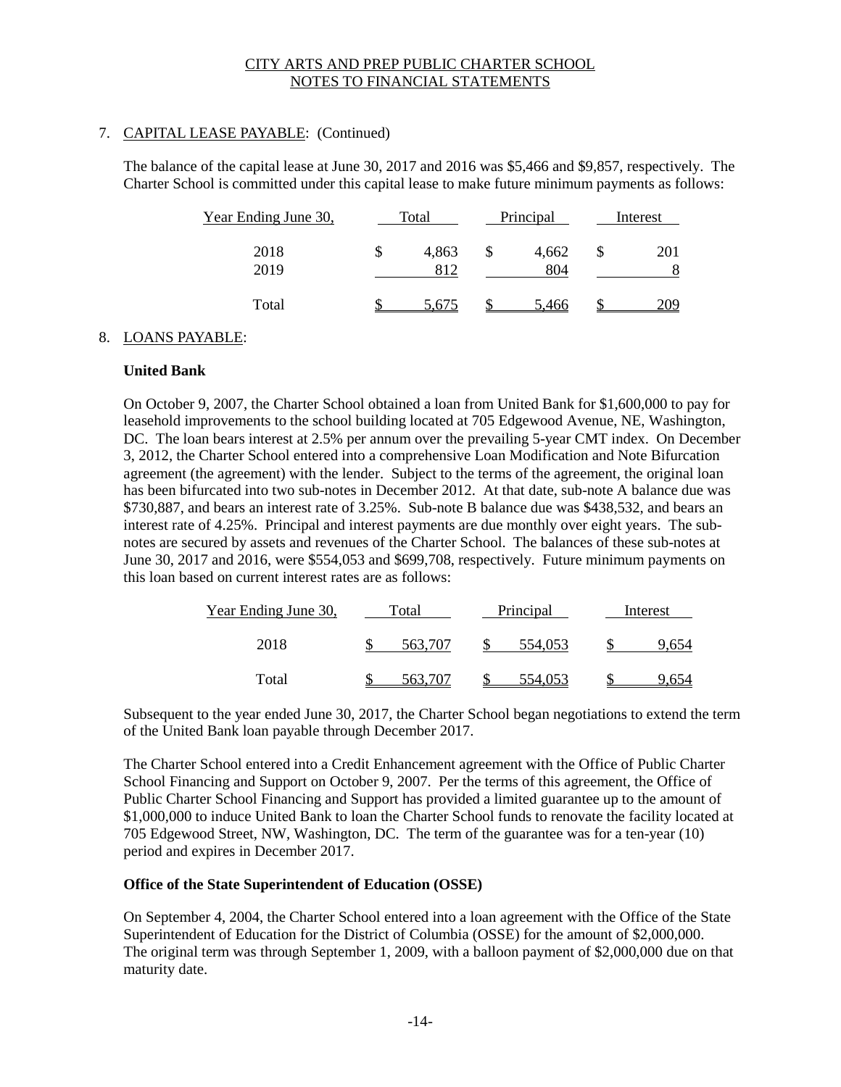# 7. CAPITAL LEASE PAYABLE: (Continued)

The balance of the capital lease at June 30, 2017 and 2016 was \$5,466 and \$9,857, respectively. The Charter School is committed under this capital lease to make future minimum payments as follows:

| Year Ending June 30, | Total |              | Principal |              |     |  | Interest |
|----------------------|-------|--------------|-----------|--------------|-----|--|----------|
| 2018<br>2019         |       | 4,863<br>812 |           | 4,662<br>804 | 201 |  |          |
| Total                |       | 5.675        |           | 5.466        | 209 |  |          |

### 8. LOANS PAYABLE:

# **United Bank**

On October 9, 2007, the Charter School obtained a loan from United Bank for \$1,600,000 to pay for leasehold improvements to the school building located at 705 Edgewood Avenue, NE, Washington, DC. The loan bears interest at 2.5% per annum over the prevailing 5-year CMT index. On December 3, 2012, the Charter School entered into a comprehensive Loan Modification and Note Bifurcation agreement (the agreement) with the lender. Subject to the terms of the agreement, the original loan has been bifurcated into two sub-notes in December 2012. At that date, sub-note A balance due was \$730,887, and bears an interest rate of 3.25%. Sub-note B balance due was \$438,532, and bears an interest rate of 4.25%. Principal and interest payments are due monthly over eight years. The subnotes are secured by assets and revenues of the Charter School. The balances of these sub-notes at June 30, 2017 and 2016, were \$554,053 and \$699,708, respectively. Future minimum payments on this loan based on current interest rates are as follows:

| Year Ending June 30, | Total   | Principal | Interest |
|----------------------|---------|-----------|----------|
| 2018                 | 563,707 | 554.053   | 9.654    |
| Total                | 563.707 | 554.053   |          |

Subsequent to the year ended June 30, 2017, the Charter School began negotiations to extend the term of the United Bank loan payable through December 2017.

The Charter School entered into a Credit Enhancement agreement with the Office of Public Charter School Financing and Support on October 9, 2007. Per the terms of this agreement, the Office of Public Charter School Financing and Support has provided a limited guarantee up to the amount of \$1,000,000 to induce United Bank to loan the Charter School funds to renovate the facility located at 705 Edgewood Street, NW, Washington, DC. The term of the guarantee was for a ten-year (10) period and expires in December 2017.

### **Office of the State Superintendent of Education (OSSE)**

On September 4, 2004, the Charter School entered into a loan agreement with the Office of the State Superintendent of Education for the District of Columbia (OSSE) for the amount of \$2,000,000. The original term was through September 1, 2009, with a balloon payment of \$2,000,000 due on that maturity date.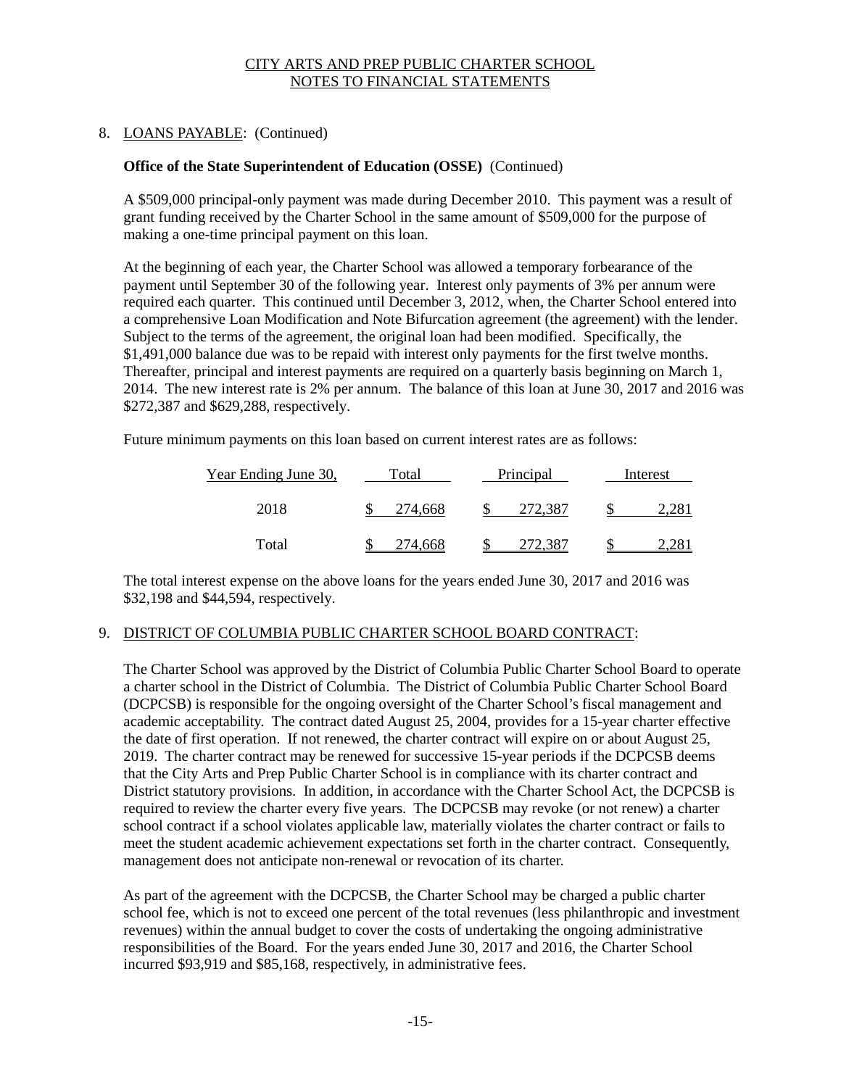# 8. LOANS PAYABLE: (Continued)

### **Office of the State Superintendent of Education (OSSE)** (Continued)

A \$509,000 principal-only payment was made during December 2010. This payment was a result of grant funding received by the Charter School in the same amount of \$509,000 for the purpose of making a one-time principal payment on this loan.

At the beginning of each year, the Charter School was allowed a temporary forbearance of the payment until September 30 of the following year. Interest only payments of 3% per annum were required each quarter. This continued until December 3, 2012, when, the Charter School entered into a comprehensive Loan Modification and Note Bifurcation agreement (the agreement) with the lender. Subject to the terms of the agreement, the original loan had been modified. Specifically, the \$1,491,000 balance due was to be repaid with interest only payments for the first twelve months. Thereafter, principal and interest payments are required on a quarterly basis beginning on March 1, 2014. The new interest rate is 2% per annum. The balance of this loan at June 30, 2017 and 2016 was \$272,387 and \$629,288, respectively.

Future minimum payments on this loan based on current interest rates are as follows:

| Year Ending June 30, | Total   | Principal | Interest |  |  |  |
|----------------------|---------|-----------|----------|--|--|--|
| 2018                 | 274.668 | 272.387   | 2.28     |  |  |  |
| Total                | 274.668 | 272.387   |          |  |  |  |

The total interest expense on the above loans for the years ended June 30, 2017 and 2016 was \$32,198 and \$44,594, respectively.

# 9. DISTRICT OF COLUMBIA PUBLIC CHARTER SCHOOL BOARD CONTRACT:

The Charter School was approved by the District of Columbia Public Charter School Board to operate a charter school in the District of Columbia. The District of Columbia Public Charter School Board (DCPCSB) is responsible for the ongoing oversight of the Charter School's fiscal management and academic acceptability. The contract dated August 25, 2004, provides for a 15-year charter effective the date of first operation. If not renewed, the charter contract will expire on or about August 25, 2019. The charter contract may be renewed for successive 15-year periods if the DCPCSB deems that the City Arts and Prep Public Charter School is in compliance with its charter contract and District statutory provisions. In addition, in accordance with the Charter School Act, the DCPCSB is required to review the charter every five years. The DCPCSB may revoke (or not renew) a charter school contract if a school violates applicable law, materially violates the charter contract or fails to meet the student academic achievement expectations set forth in the charter contract. Consequently, management does not anticipate non-renewal or revocation of its charter.

As part of the agreement with the DCPCSB, the Charter School may be charged a public charter school fee, which is not to exceed one percent of the total revenues (less philanthropic and investment revenues) within the annual budget to cover the costs of undertaking the ongoing administrative responsibilities of the Board. For the years ended June 30, 2017 and 2016, the Charter School incurred \$93,919 and \$85,168, respectively, in administrative fees.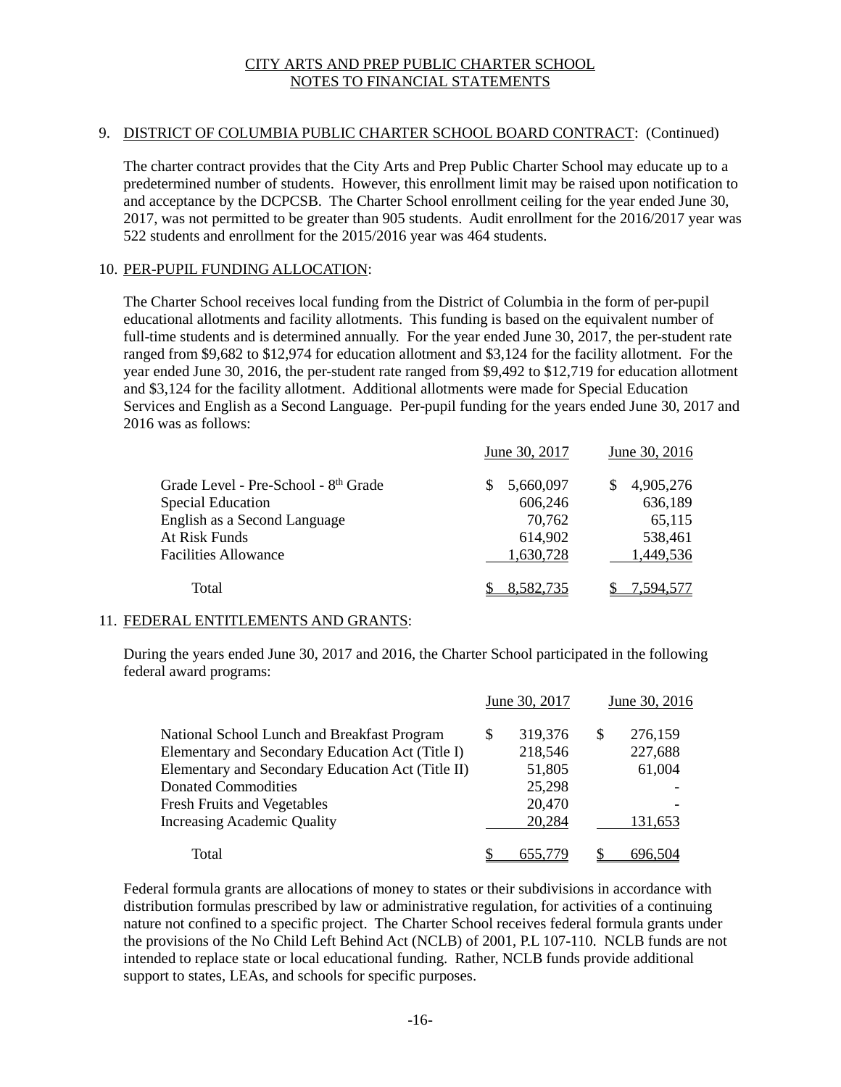### 9. DISTRICT OF COLUMBIA PUBLIC CHARTER SCHOOL BOARD CONTRACT: (Continued)

The charter contract provides that the City Arts and Prep Public Charter School may educate up to a predetermined number of students. However, this enrollment limit may be raised upon notification to and acceptance by the DCPCSB. The Charter School enrollment ceiling for the year ended June 30, 2017, was not permitted to be greater than 905 students. Audit enrollment for the 2016/2017 year was 522 students and enrollment for the 2015/2016 year was 464 students.

# 10. PER-PUPIL FUNDING ALLOCATION:

The Charter School receives local funding from the District of Columbia in the form of per-pupil educational allotments and facility allotments. This funding is based on the equivalent number of full-time students and is determined annually. For the year ended June 30, 2017, the per-student rate ranged from \$9,682 to \$12,974 for education allotment and \$3,124 for the facility allotment. For the year ended June 30, 2016, the per-student rate ranged from \$9,492 to \$12,719 for education allotment and \$3,124 for the facility allotment. Additional allotments were made for Special Education Services and English as a Second Language. Per-pupil funding for the years ended June 30, 2017 and 2016 was as follows:

|                                                  | June 30, 2017  | June 30, 2016  |
|--------------------------------------------------|----------------|----------------|
| Grade Level - Pre-School - 8 <sup>th</sup> Grade | 5,660,097<br>S | 4,905,276<br>S |
| Special Education                                | 606,246        | 636,189        |
| English as a Second Language                     | 70,762         | 65,115         |
| At Risk Funds                                    | 614,902        | 538,461        |
| <b>Facilities Allowance</b>                      | 1,630,728      | 1,449,536      |
| Total                                            | 8.582,735      | 1.594.577      |

### 11. FEDERAL ENTITLEMENTS AND GRANTS:

During the years ended June 30, 2017 and 2016, the Charter School participated in the following federal award programs:

|                                                   |   | June 30, 2017 |   | June 30, 2016 |
|---------------------------------------------------|---|---------------|---|---------------|
| National School Lunch and Breakfast Program       | S | 319,376       | S | 276,159       |
| Elementary and Secondary Education Act (Title I)  |   | 218,546       |   | 227,688       |
| Elementary and Secondary Education Act (Title II) |   | 51,805        |   | 61,004        |
| <b>Donated Commodities</b>                        |   | 25,298        |   |               |
| <b>Fresh Fruits and Vegetables</b>                |   | 20,470        |   |               |
| <b>Increasing Academic Quality</b>                |   | 20,284        |   | 131,653       |
| Total                                             |   |               |   | 696.504       |

Federal formula grants are allocations of money to states or their subdivisions in accordance with distribution formulas prescribed by law or administrative regulation, for activities of a continuing nature not confined to a specific project. The Charter School receives federal formula grants under the provisions of the No Child Left Behind Act (NCLB) of 2001, P.L 107-110. NCLB funds are not intended to replace state or local educational funding. Rather, NCLB funds provide additional support to states, LEAs, and schools for specific purposes.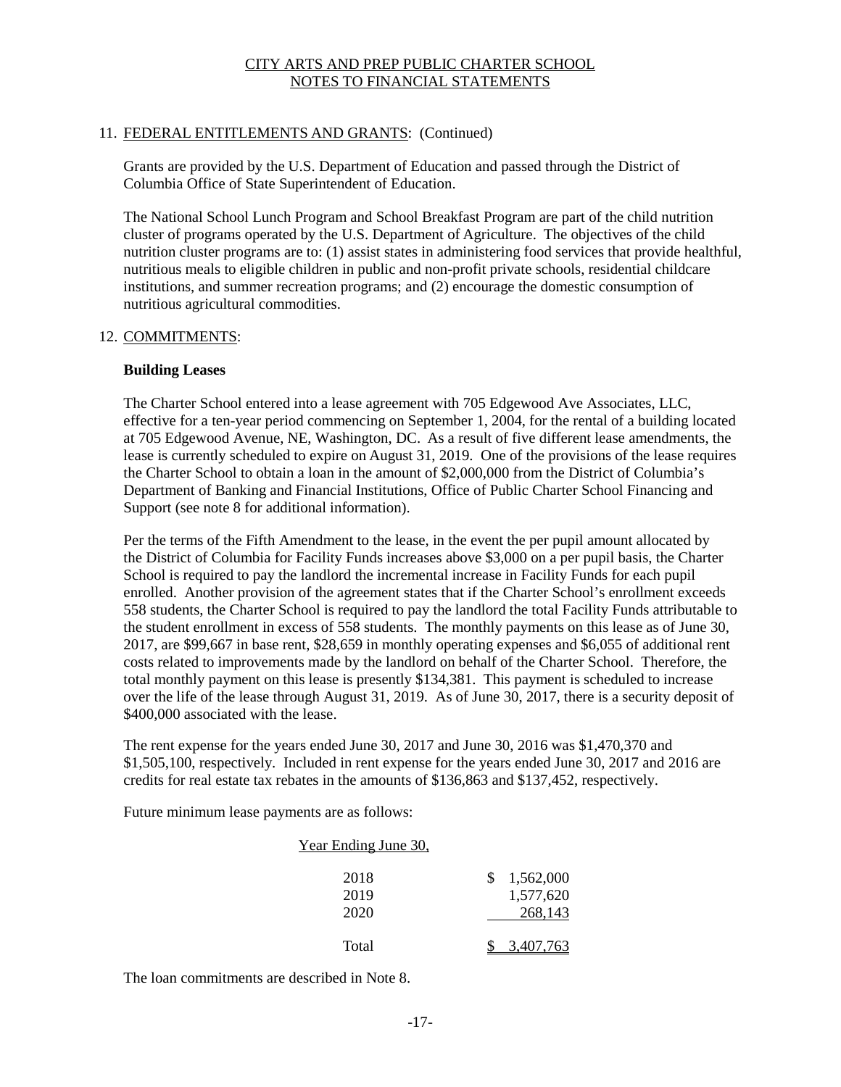# 11. FEDERAL ENTITLEMENTS AND GRANTS: (Continued)

Grants are provided by the U.S. Department of Education and passed through the District of Columbia Office of State Superintendent of Education.

The National School Lunch Program and School Breakfast Program are part of the child nutrition cluster of programs operated by the U.S. Department of Agriculture. The objectives of the child nutrition cluster programs are to: (1) assist states in administering food services that provide healthful, nutritious meals to eligible children in public and non-profit private schools, residential childcare institutions, and summer recreation programs; and (2) encourage the domestic consumption of nutritious agricultural commodities.

# 12. COMMITMENTS:

### **Building Leases**

The Charter School entered into a lease agreement with 705 Edgewood Ave Associates, LLC, effective for a ten-year period commencing on September 1, 2004, for the rental of a building located at 705 Edgewood Avenue, NE, Washington, DC. As a result of five different lease amendments, the lease is currently scheduled to expire on August 31, 2019. One of the provisions of the lease requires the Charter School to obtain a loan in the amount of \$2,000,000 from the District of Columbia's Department of Banking and Financial Institutions, Office of Public Charter School Financing and Support (see note 8 for additional information).

Per the terms of the Fifth Amendment to the lease, in the event the per pupil amount allocated by the District of Columbia for Facility Funds increases above \$3,000 on a per pupil basis, the Charter School is required to pay the landlord the incremental increase in Facility Funds for each pupil enrolled. Another provision of the agreement states that if the Charter School's enrollment exceeds 558 students, the Charter School is required to pay the landlord the total Facility Funds attributable to the student enrollment in excess of 558 students. The monthly payments on this lease as of June 30, 2017, are \$99,667 in base rent, \$28,659 in monthly operating expenses and \$6,055 of additional rent costs related to improvements made by the landlord on behalf of the Charter School. Therefore, the total monthly payment on this lease is presently \$134,381. This payment is scheduled to increase over the life of the lease through August 31, 2019. As of June 30, 2017, there is a security deposit of \$400,000 associated with the lease.

The rent expense for the years ended June 30, 2017 and June 30, 2016 was \$1,470,370 and \$1,505,100, respectively. Included in rent expense for the years ended June 30, 2017 and 2016 are credits for real estate tax rebates in the amounts of \$136,863 and \$137,452, respectively.

Future minimum lease payments are as follows:

| 1,562,000 |
|-----------|
| 1,577,620 |
| 268,143   |
|           |
| 3.407.763 |
|           |

The loan commitments are described in Note 8.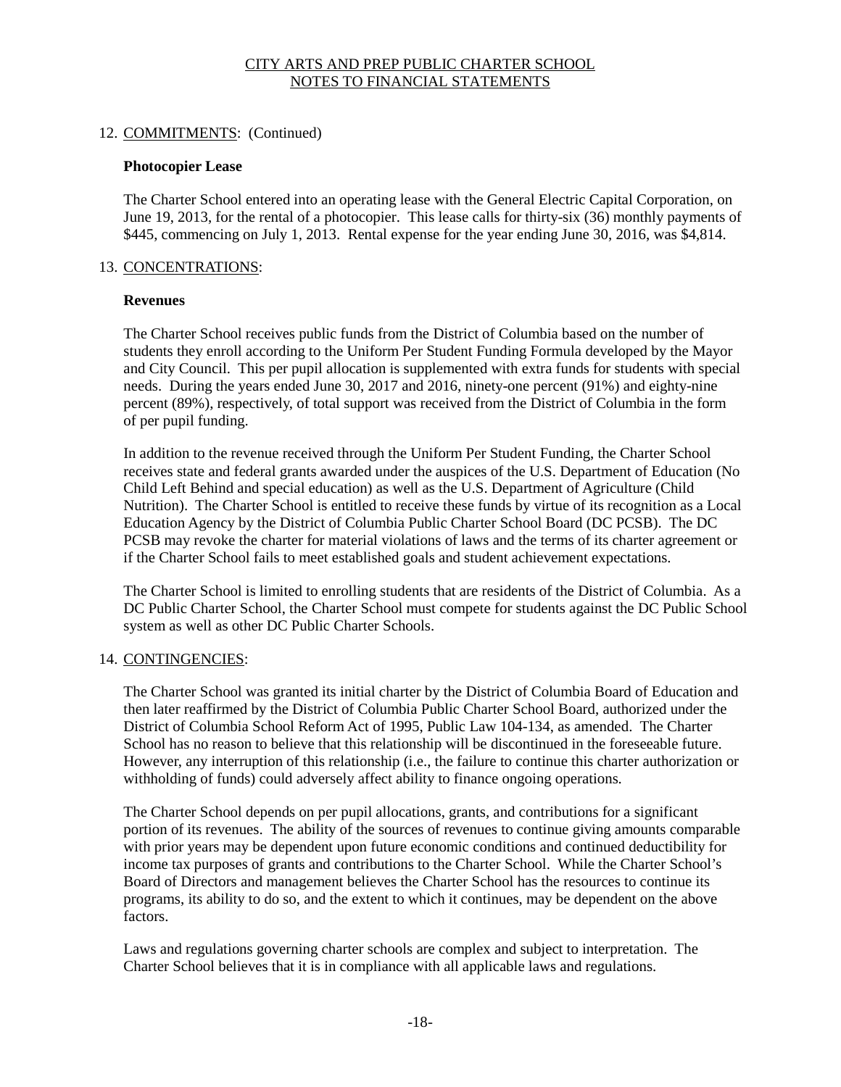# 12. COMMITMENTS: (Continued)

### **Photocopier Lease**

The Charter School entered into an operating lease with the General Electric Capital Corporation, on June 19, 2013, for the rental of a photocopier. This lease calls for thirty-six (36) monthly payments of \$445, commencing on July 1, 2013. Rental expense for the year ending June 30, 2016, was \$4,814.

#### 13. CONCENTRATIONS:

#### **Revenues**

The Charter School receives public funds from the District of Columbia based on the number of students they enroll according to the Uniform Per Student Funding Formula developed by the Mayor and City Council. This per pupil allocation is supplemented with extra funds for students with special needs. During the years ended June 30, 2017 and 2016, ninety-one percent (91%) and eighty-nine percent (89%), respectively, of total support was received from the District of Columbia in the form of per pupil funding.

In addition to the revenue received through the Uniform Per Student Funding, the Charter School receives state and federal grants awarded under the auspices of the U.S. Department of Education (No Child Left Behind and special education) as well as the U.S. Department of Agriculture (Child Nutrition). The Charter School is entitled to receive these funds by virtue of its recognition as a Local Education Agency by the District of Columbia Public Charter School Board (DC PCSB). The DC PCSB may revoke the charter for material violations of laws and the terms of its charter agreement or if the Charter School fails to meet established goals and student achievement expectations.

The Charter School is limited to enrolling students that are residents of the District of Columbia. As a DC Public Charter School, the Charter School must compete for students against the DC Public School system as well as other DC Public Charter Schools.

### 14. CONTINGENCIES:

The Charter School was granted its initial charter by the District of Columbia Board of Education and then later reaffirmed by the District of Columbia Public Charter School Board, authorized under the District of Columbia School Reform Act of 1995, Public Law 104-134, as amended. The Charter School has no reason to believe that this relationship will be discontinued in the foreseeable future. However, any interruption of this relationship (i.e., the failure to continue this charter authorization or withholding of funds) could adversely affect ability to finance ongoing operations.

The Charter School depends on per pupil allocations, grants, and contributions for a significant portion of its revenues. The ability of the sources of revenues to continue giving amounts comparable with prior years may be dependent upon future economic conditions and continued deductibility for income tax purposes of grants and contributions to the Charter School. While the Charter School's Board of Directors and management believes the Charter School has the resources to continue its programs, its ability to do so, and the extent to which it continues, may be dependent on the above factors.

Laws and regulations governing charter schools are complex and subject to interpretation. The Charter School believes that it is in compliance with all applicable laws and regulations.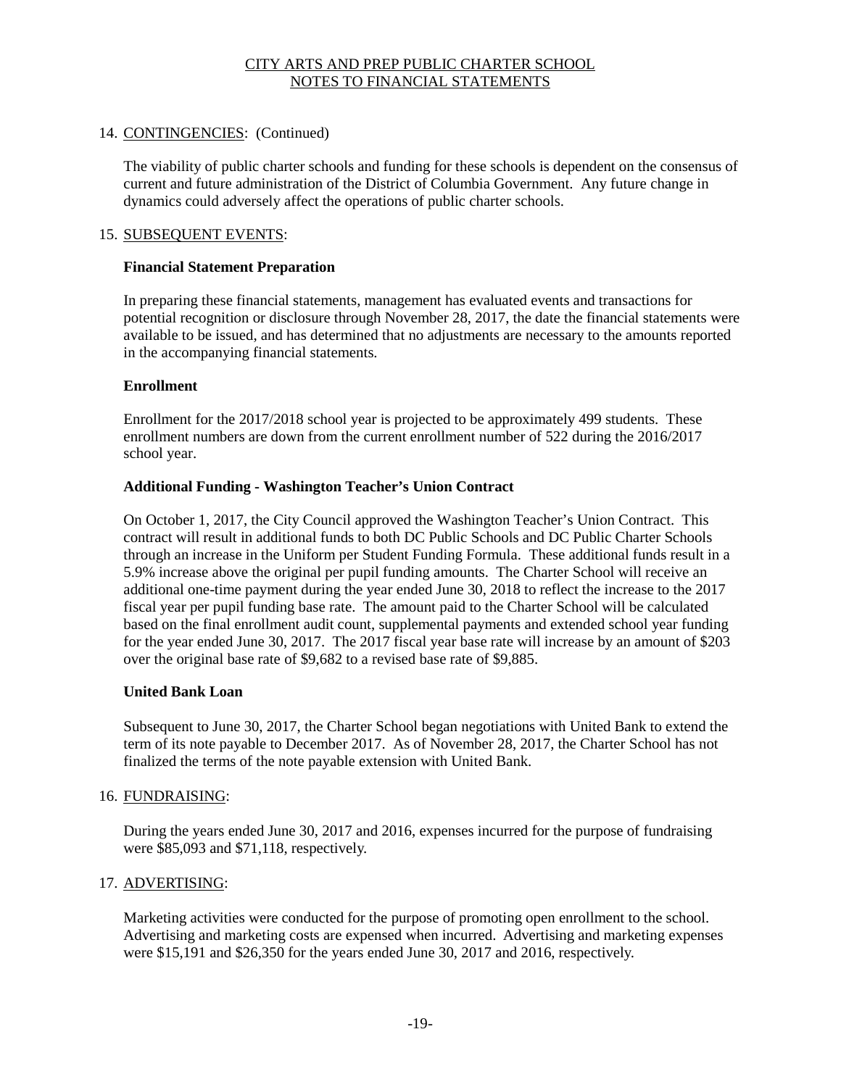# 14. CONTINGENCIES: (Continued)

The viability of public charter schools and funding for these schools is dependent on the consensus of current and future administration of the District of Columbia Government. Any future change in dynamics could adversely affect the operations of public charter schools.

# 15. SUBSEQUENT EVENTS:

### **Financial Statement Preparation**

In preparing these financial statements, management has evaluated events and transactions for potential recognition or disclosure through November 28, 2017, the date the financial statements were available to be issued, and has determined that no adjustments are necessary to the amounts reported in the accompanying financial statements.

### **Enrollment**

Enrollment for the 2017/2018 school year is projected to be approximately 499 students. These enrollment numbers are down from the current enrollment number of 522 during the 2016/2017 school year.

# **Additional Funding - Washington Teacher's Union Contract**

On October 1, 2017, the City Council approved the Washington Teacher's Union Contract. This contract will result in additional funds to both DC Public Schools and DC Public Charter Schools through an increase in the Uniform per Student Funding Formula. These additional funds result in a 5.9% increase above the original per pupil funding amounts. The Charter School will receive an additional one-time payment during the year ended June 30, 2018 to reflect the increase to the 2017 fiscal year per pupil funding base rate. The amount paid to the Charter School will be calculated based on the final enrollment audit count, supplemental payments and extended school year funding for the year ended June 30, 2017. The 2017 fiscal year base rate will increase by an amount of \$203 over the original base rate of \$9,682 to a revised base rate of \$9,885.

### **United Bank Loan**

Subsequent to June 30, 2017, the Charter School began negotiations with United Bank to extend the term of its note payable to December 2017. As of November 28, 2017, the Charter School has not finalized the terms of the note payable extension with United Bank.

### 16. FUNDRAISING:

During the years ended June 30, 2017 and 2016, expenses incurred for the purpose of fundraising were \$85,093 and \$71,118, respectively.

### 17. ADVERTISING:

Marketing activities were conducted for the purpose of promoting open enrollment to the school. Advertising and marketing costs are expensed when incurred. Advertising and marketing expenses were \$15,191 and \$26,350 for the years ended June 30, 2017 and 2016, respectively.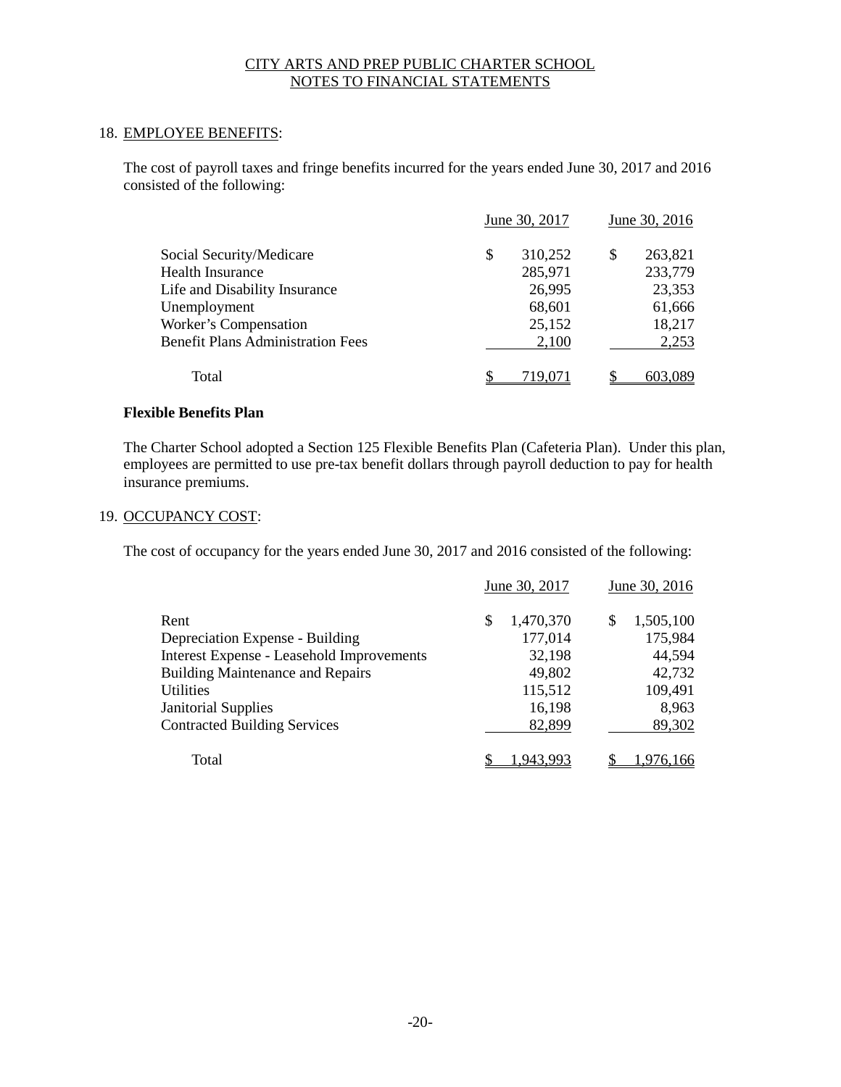### 18. EMPLOYEE BENEFITS:

The cost of payroll taxes and fringe benefits incurred for the years ended June 30, 2017 and 2016 consisted of the following:

|                                          | June 30, 2017 | June 30, 2016 |
|------------------------------------------|---------------|---------------|
| Social Security/Medicare                 | \$<br>310,252 | \$<br>263,821 |
| <b>Health Insurance</b>                  | 285,971       | 233,779       |
| Life and Disability Insurance            | 26,995        | 23,353        |
| Unemployment                             | 68,601        | 61,666        |
| <b>Worker's Compensation</b>             | 25,152        | 18,217        |
| <b>Benefit Plans Administration Fees</b> | 2,100         | 2,253         |
| Total                                    | 719.07        | 603,089       |

#### **Flexible Benefits Plan**

The Charter School adopted a Section 125 Flexible Benefits Plan (Cafeteria Plan). Under this plan, employees are permitted to use pre-tax benefit dollars through payroll deduction to pay for health insurance premiums.

### 19. OCCUPANCY COST:

The cost of occupancy for the years ended June 30, 2017 and 2016 consisted of the following:

|                                                  | June 30, 2017   | June 30, 2016   |
|--------------------------------------------------|-----------------|-----------------|
| Rent                                             | \$<br>1,470,370 | \$<br>1,505,100 |
| Depreciation Expense - Building                  | 177,014         | 175,984         |
| <b>Interest Expense - Leasehold Improvements</b> | 32,198          | 44,594          |
| <b>Building Maintenance and Repairs</b>          | 49,802          | 42,732          |
| <b>Utilities</b>                                 | 115,512         | 109,491         |
| <b>Janitorial Supplies</b>                       | 16,198          | 8,963           |
| <b>Contracted Building Services</b>              | 82,899          | 89,302          |
| Total                                            |                 |                 |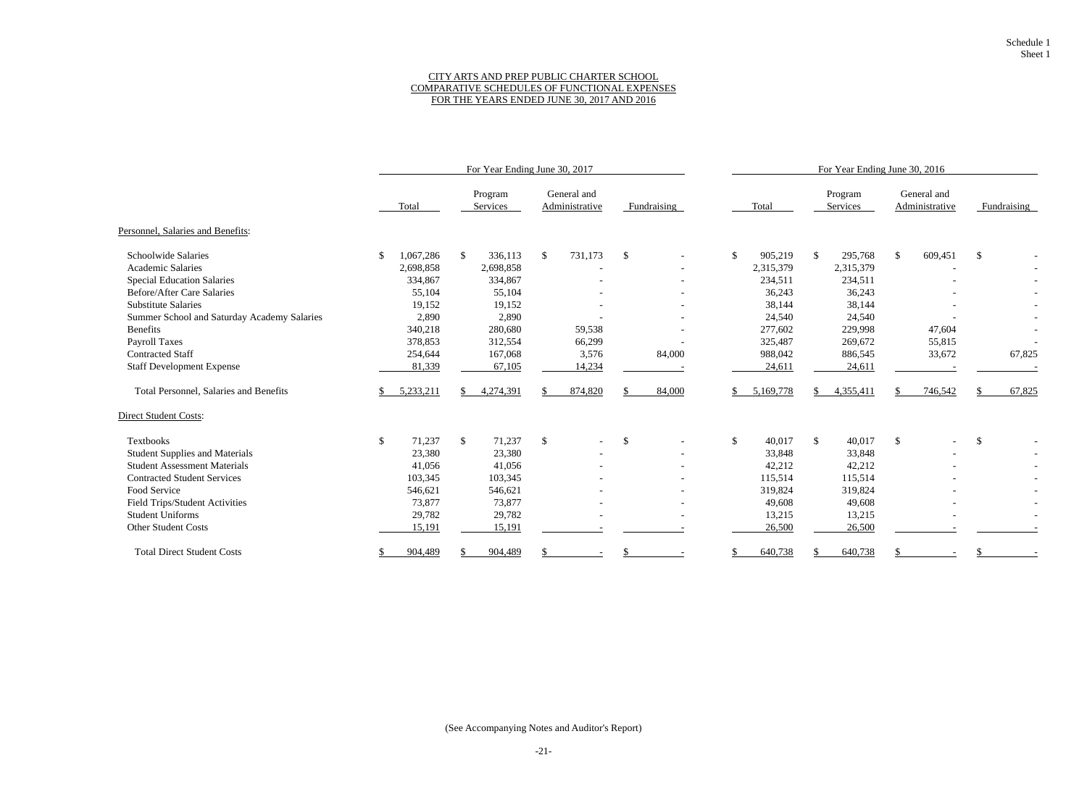#### CITY ARTS AND PREP PUBLIC CHARTER SCHOOL COMPARATIVE SCHEDULES OF FUNCTIONAL EXPENSES FOR THE YEARS ENDED JUNE 30, 2017 AND 2016

|                                               | For Year Ending June 30, 2017 |           |              |                            |               |                               |               | For Year Ending June 30, 2016 |              |           |              |                     |              |                               |               |             |
|-----------------------------------------------|-------------------------------|-----------|--------------|----------------------------|---------------|-------------------------------|---------------|-------------------------------|--------------|-----------|--------------|---------------------|--------------|-------------------------------|---------------|-------------|
|                                               |                               | Total     |              | Program<br><b>Services</b> |               | General and<br>Administrative |               | Fundraising                   |              | Total     |              | Program<br>Services |              | General and<br>Administrative |               | Fundraising |
| Personnel, Salaries and Benefits:             |                               |           |              |                            |               |                               |               |                               |              |           |              |                     |              |                               |               |             |
| Schoolwide Salaries                           | <sup>\$</sup>                 | 1,067,286 | \$           | 336,113                    | <sup>\$</sup> | 731,173                       | <sup>\$</sup> |                               |              | 905,219   | -S           | 295,768             | \$           | 609,451                       | \$            |             |
| Academic Salaries                             |                               | 2,698,858 |              | 2,698,858                  |               |                               |               |                               |              | 2,315,379 |              | 2,315,379           |              |                               |               |             |
| <b>Special Education Salaries</b>             |                               | 334,867   |              | 334,867                    |               |                               |               |                               |              | 234,511   |              | 234,511             |              |                               |               |             |
| <b>Before/After Care Salaries</b>             |                               | 55,104    |              | 55,104                     |               |                               |               |                               |              | 36,243    |              | 36,243              |              |                               |               |             |
| <b>Substitute Salaries</b>                    |                               | 19,152    |              | 19,152                     |               |                               |               |                               |              | 38,144    |              | 38,144              |              |                               |               |             |
| Summer School and Saturday Academy Salaries   |                               | 2,890     |              | 2,890                      |               |                               |               |                               |              | 24,540    |              | 24,540              |              |                               |               |             |
| <b>Benefits</b>                               |                               | 340,218   |              | 280,680                    |               | 59,538                        |               |                               |              | 277,602   |              | 229,998             |              | 47,604                        |               |             |
| <b>Payroll Taxes</b>                          |                               | 378,853   |              | 312,554                    |               | 66,299                        |               |                               |              | 325,487   |              | 269,672             |              | 55,815                        |               |             |
| <b>Contracted Staff</b>                       |                               | 254,644   |              | 167,068                    |               | 3,576                         |               | 84,000                        |              | 988,042   |              | 886,545             |              | 33,672                        |               | 67,825      |
| <b>Staff Development Expense</b>              |                               | 81,339    |              | 67,105                     |               | 14,234                        |               |                               |              | 24,611    |              | 24,611              |              |                               |               |             |
| <b>Total Personnel, Salaries and Benefits</b> |                               | 5,233,211 |              | 4,274,391                  |               | 874,820                       |               | 84,000                        |              | 5,169,778 |              | 4,355,411           |              | 746,542                       |               | 67,825      |
| <b>Direct Student Costs:</b>                  |                               |           |              |                            |               |                               |               |                               |              |           |              |                     |              |                               |               |             |
| Textbooks                                     | $\mathbb{S}$                  | 71,237    | $\mathbb{S}$ | 71,237                     | \$            |                               | $\sqrt$       |                               | $\mathbb{S}$ | 40,017    | $\mathbb{S}$ | 40,017              | $\mathbb{S}$ |                               | $\mathcal{S}$ |             |
| <b>Student Supplies and Materials</b>         |                               | 23,380    |              | 23,380                     |               |                               |               |                               |              | 33,848    |              | 33,848              |              |                               |               |             |
| <b>Student Assessment Materials</b>           |                               | 41,056    |              | 41,056                     |               |                               |               |                               |              | 42,212    |              | 42,212              |              |                               |               |             |
| <b>Contracted Student Services</b>            |                               | 103,345   |              | 103,345                    |               |                               |               |                               |              | 115,514   |              | 115,514             |              |                               |               |             |
| Food Service                                  |                               | 546,621   |              | 546,621                    |               |                               |               |                               |              | 319,824   |              | 319,824             |              |                               |               |             |
| Field Trips/Student Activities                |                               | 73,877    |              | 73,877                     |               |                               |               |                               |              | 49,608    |              | 49,608              |              |                               |               |             |
| <b>Student Uniforms</b>                       |                               | 29,782    |              | 29,782                     |               |                               |               |                               |              | 13,215    |              | 13,215              |              |                               |               |             |
| Other Student Costs                           |                               | 15,191    |              | 15,191                     |               |                               |               |                               |              | 26,500    |              | 26,500              |              |                               |               |             |
| <b>Total Direct Student Costs</b>             |                               | 904,489   |              | 904,489                    |               |                               |               |                               |              | 640,738   |              | 640,738             |              |                               |               |             |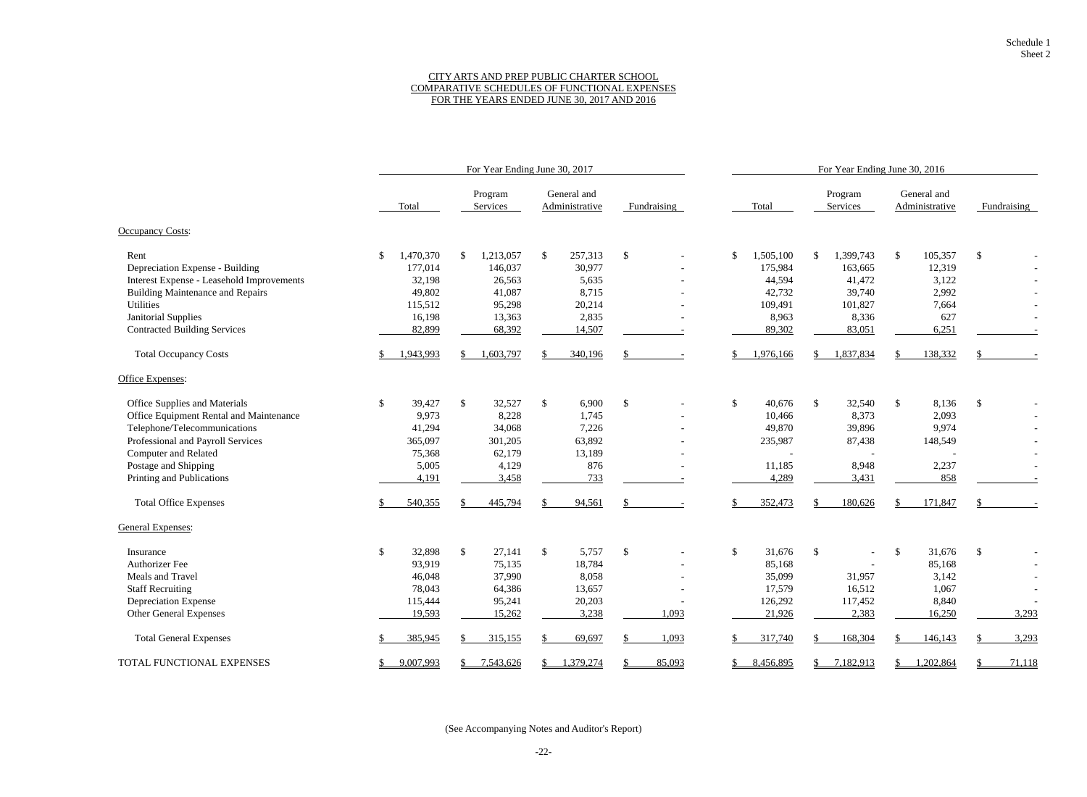#### CITY ARTS AND PREP PUBLIC CHARTER SCHOOL COMPARATIVE SCHEDULES OF FUNCTIONAL EXPENSES FOR THE YEARS ENDED JUNE 30, 2017 AND 2016

|                                           |               | For Year Ending June 30, 2017 |               |                     |               |                               |               |             | For Year Ending June 30, 2016 |           |               |                     |      |                               |                           |        |
|-------------------------------------------|---------------|-------------------------------|---------------|---------------------|---------------|-------------------------------|---------------|-------------|-------------------------------|-----------|---------------|---------------------|------|-------------------------------|---------------------------|--------|
|                                           |               | Total                         |               | Program<br>Services |               | General and<br>Administrative |               | Fundraising |                               | Total     |               | Program<br>Services |      | General and<br>Administrative | Fundraising               |        |
| <b>Occupancy Costs:</b>                   |               |                               |               |                     |               |                               |               |             |                               |           |               |                     |      |                               |                           |        |
| Rent                                      | $\mathcal{S}$ | 1,470,370                     | \$            | 1,213,057           | $\mathcal{S}$ | 257,313                       | $\mathcal{S}$ |             | \$                            | 1,505,100 | <sup>\$</sup> | 1,399,743           | \$   | 105,357                       | $\mathbb{S}$              |        |
| Depreciation Expense - Building           |               | 177,014                       |               | 146,037             |               | 30,977                        |               |             |                               | 175,984   |               | 163,665             |      | 12,319                        |                           |        |
| Interest Expense - Leasehold Improvements |               | 32,198                        |               | 26,563              |               | 5,635                         |               |             |                               | 44,594    |               | 41,472              |      | 3,122                         |                           |        |
| <b>Building Maintenance and Repairs</b>   |               | 49,802                        |               | 41,087              |               | 8,715                         |               |             |                               | 42,732    |               | 39,740              |      | 2,992                         |                           |        |
| Utilities                                 |               | 115,512                       |               | 95,298              |               | 20,214                        |               |             |                               | 109,491   |               | 101,827             |      | 7,664                         |                           |        |
| <b>Janitorial Supplies</b>                |               | 16,198                        |               | 13,363              |               | 2,835                         |               |             |                               | 8,963     |               | 8,336               |      | 627                           |                           |        |
| <b>Contracted Building Services</b>       |               | 82,899                        |               | 68,392              |               | 14,507                        |               |             |                               | 89,302    |               | 83,051              |      | 6,251                         |                           |        |
| <b>Total Occupancy Costs</b>              |               | ,943,993                      |               | 1,603,797           |               | 340,196                       | \$            |             |                               | 1,976,166 |               | 1,837,834           |      | 138,332                       |                           |        |
| Office Expenses:                          |               |                               |               |                     |               |                               |               |             |                               |           |               |                     |      |                               |                           |        |
| Office Supplies and Materials             | $\mathcal{S}$ | 39,427                        | $\mathcal{S}$ | 32,527              | $\sqrt$       | 6,900                         | $\mathcal{S}$ |             | \$                            | 40,676    | $\mathcal{S}$ | 32,540              | \$   | 8,136                         | $\mathcal{S}$             |        |
| Office Equipment Rental and Maintenance   |               | 9,973                         |               | 8,228               |               | 1,745                         |               |             |                               | 10,466    |               | 8,373               |      | 2,093                         |                           |        |
| Telephone/Telecommunications              |               | 41,294                        |               | 34,068              |               | 7,226                         |               |             |                               | 49,870    |               | 39,896              |      | 9,974                         |                           |        |
| Professional and Payroll Services         |               | 365,097                       |               | 301,205             |               | 63,892                        |               |             |                               | 235,987   |               | 87,438              |      | 148,549                       |                           |        |
| Computer and Related                      |               | 75,368                        |               | 62,179              |               | 13,189                        |               |             |                               |           |               |                     |      |                               |                           |        |
| Postage and Shipping                      |               | 5,005                         |               | 4,129               |               | 876                           |               |             |                               | 11,185    |               | 8,948               |      | 2,237                         |                           |        |
| Printing and Publications                 |               | 4,191                         |               | 3,458               |               | 733                           |               |             |                               | 4,289     |               | 3,431               |      | 858                           |                           |        |
| <b>Total Office Expenses</b>              |               | 540,355                       |               | 445,794             |               | 94,561                        |               |             |                               | 352,473   |               | 180,626             |      | 171,847                       |                           |        |
| <b>General Expenses:</b>                  |               |                               |               |                     |               |                               |               |             |                               |           |               |                     |      |                               |                           |        |
| Insurance                                 | $\mathcal{S}$ | 32,898                        | \$            | 27,141              | $\sqrt$       | 5,757                         | $\$\,$        |             | \$                            | 31,676    | $\mathcal{S}$ |                     | $\$$ | 31,676                        | $\boldsymbol{\mathsf{S}}$ |        |
| <b>Authorizer Fee</b>                     |               | 93,919                        |               | 75,135              |               | 18,784                        |               |             |                               | 85,168    |               |                     |      | 85,168                        |                           |        |
| Meals and Travel                          |               | 46,048                        |               | 37,990              |               | 8,058                         |               |             |                               | 35,099    |               | 31,957              |      | 3,142                         |                           |        |
| <b>Staff Recruiting</b>                   |               | 78,043                        |               | 64,386              |               | 13,657                        |               |             |                               | 17,579    |               | 16,512              |      | 1,067                         |                           |        |
| Depreciation Expense                      |               | 115,444                       |               | 95,241              |               | 20,203                        |               |             |                               | 126,292   |               | 117,452             |      | 8,840                         |                           |        |
| Other General Expenses                    |               | 19,593                        |               | 15,262              |               | 3,238                         |               | 1,093       |                               | 21,926    |               | 2,383               |      | 16,250                        |                           | 3,293  |
| <b>Total General Expenses</b>             |               | 385,945                       |               | 315,155             |               | 69,697                        |               | 1,093       |                               | 317,740   |               | 168,304             |      | 146,143                       |                           | 3,293  |
| TOTAL FUNCTIONAL EXPENSES                 |               | 9,007,993                     |               | 7,543,626           |               | 1,379,274                     |               | 85,093      |                               | 8,456,895 |               | 7,182,913           |      | 1,202,864                     |                           | 71,118 |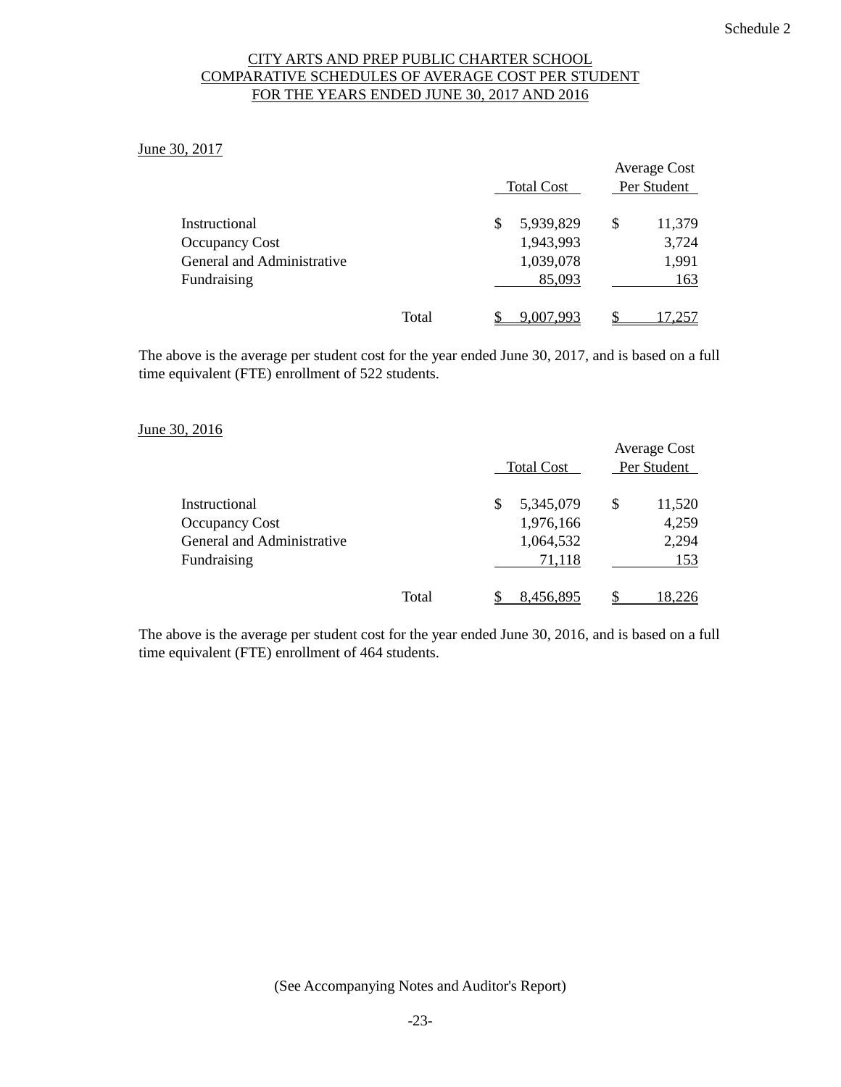# CITY ARTS AND PREP PUBLIC CHARTER SCHOOL COMPARATIVE SCHEDULES OF AVERAGE COST PER STUDENT FOR THE YEARS ENDED JUNE 30, 2017 AND 2016

#### June 30, 2017

|                            |       | <b>Total Cost</b> |   | <b>Average Cost</b><br>Per Student |
|----------------------------|-------|-------------------|---|------------------------------------|
| Instructional              |       | 5,939,829         | S | 11,379                             |
| <b>Occupancy Cost</b>      |       | 1,943,993         |   | 3,724                              |
| General and Administrative |       | 1,039,078         |   | 1,991                              |
| Fundraising                |       | 85,093            |   | 163                                |
|                            | Total | 9,007,993         |   | 17,257                             |

The above is the average per student cost for the year ended June 30, 2017, and is based on a full time equivalent (FTE) enrollment of 522 students.

#### June 30, 2016

|                            |       |   | <b>Total Cost</b> |   | <b>Average Cost</b><br>Per Student |
|----------------------------|-------|---|-------------------|---|------------------------------------|
| Instructional              |       | S | 5,345,079         | S | 11,520                             |
| <b>Occupancy Cost</b>      |       |   | 1,976,166         |   | 4,259                              |
| General and Administrative |       |   | 1,064,532         |   | 2,294                              |
| Fundraising                |       |   | 71,118            |   | 153                                |
|                            | Total |   | 8,456,895         |   | .8.226                             |

The above is the average per student cost for the year ended June 30, 2016, and is based on a full time equivalent (FTE) enrollment of 464 students.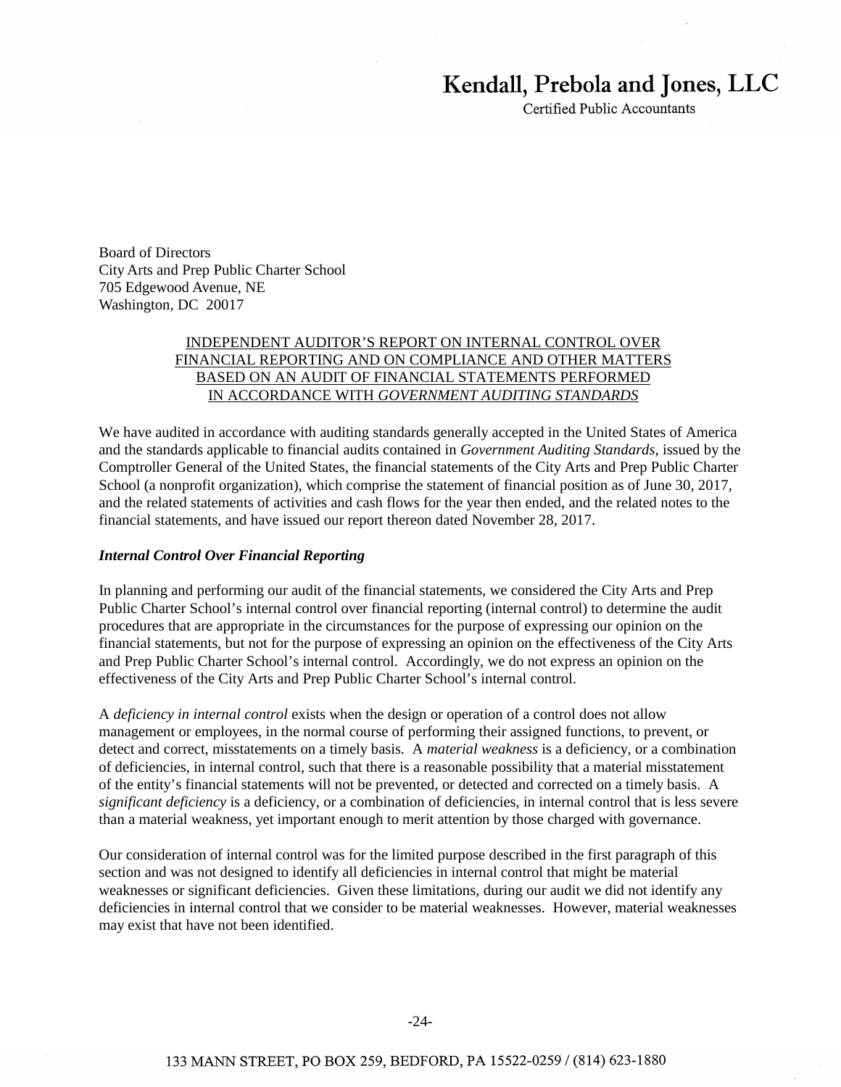# Kendall, Prebola and Jones, LLC

Certified Public Accountants

Board of Directors City Arts and Prep Public Charter School 705 Edgewood Avenue, NE Washington, DC 20017

# INDEPENDENT AUDITOR'S REPORT ON INTERNAL CONTROL OVER FINANCIAL REPORTING AND ON COMPLIANCE AND OTHER MATTERS BASED ON AN AUDIT OF FINANCIAL STATEMENTS PERFORMED IN ACCORDANCE WITH *GOVERNMENT AUDITING STANDARDS*

We have audited in accordance with auditing standards generally accepted in the United States of America and the standards applicable to financial audits contained in *Government Auditing Standards*, issued by the Comptroller General of the United States, the financial statements of the City Arts and Prep Public Charter School (a nonprofit organization), which comprise the statement of financial position as of June 30, 2017, and the related statements of activities and cash flows for the year then ended, and the related notes to the financial statements, and have issued our report thereon dated November 28, 2017.

#### *Internal Control Over Financial Reporting*

In planning and performing our audit of the financial statements, we considered the City Arts and Prep Public Charter School's internal control over financial reporting (internal control) to determine the audit procedures that are appropriate in the circumstances for the purpose of expressing our opinion on the financial statements, but not for the purpose of expressing an opinion on the effectiveness of the City Arts and Prep Public Charter School's internal control. Accordingly, we do not express an opinion on the effectiveness of the City Arts and Prep Public Charter School's internal control.

A *deficiency in internal control* exists when the design or operation of a control does not allow management or employees, in the normal course of performing their assigned functions, to prevent, or detect and correct, misstatements on a timely basis. A *material weakness* is a deficiency, or a combination of deficiencies, in internal control, such that there is a reasonable possibility that a material misstatement of the entity's financial statements will not be prevented, or detected and corrected on a timely basis. A *significant deficiency* is a deficiency, or a combination of deficiencies, in internal control that is less severe than a material weakness, yet important enough to merit attention by those charged with governance.

Our consideration of internal control was for the limited purpose described in the first paragraph of this section and was not designed to identify all deficiencies in internal control that might be material weaknesses or significant deficiencies. Given these limitations, during our audit we did not identify any deficiencies in internal control that we consider to be material weaknesses. However, material weaknesses may exist that have not been identified.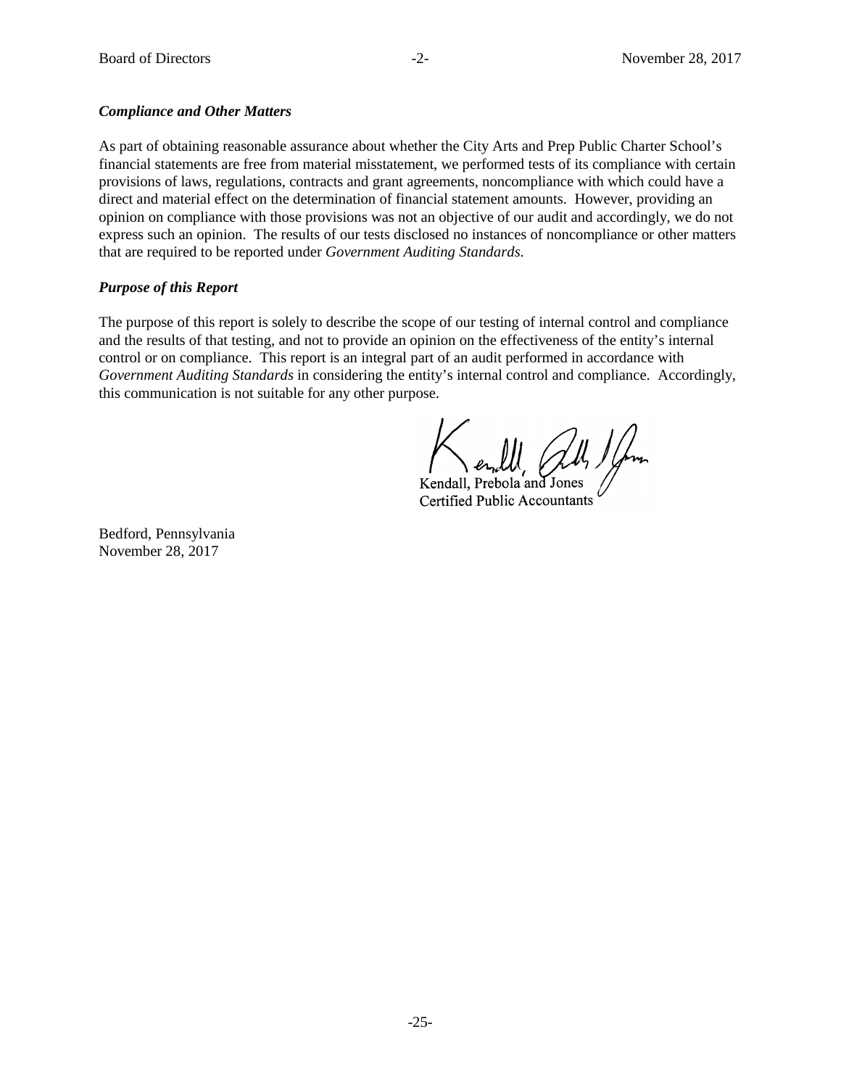### *Compliance and Other Matters*

As part of obtaining reasonable assurance about whether the City Arts and Prep Public Charter School's financial statements are free from material misstatement, we performed tests of its compliance with certain provisions of laws, regulations, contracts and grant agreements, noncompliance with which could have a direct and material effect on the determination of financial statement amounts. However, providing an opinion on compliance with those provisions was not an objective of our audit and accordingly, we do not express such an opinion. The results of our tests disclosed no instances of noncompliance or other matters that are required to be reported under *Government Auditing Standards*.

# *Purpose of this Report*

The purpose of this report is solely to describe the scope of our testing of internal control and compliance and the results of that testing, and not to provide an opinion on the effectiveness of the entity's internal control or on compliance. This report is an integral part of an audit performed in accordance with *Government Auditing Standards* in considering the entity's internal control and compliance. Accordingly, this communication is not suitable for any other purpose.

Kendall, Prebola and Jones Certified Public Accountants

Bedford, Pennsylvania November 28, 2017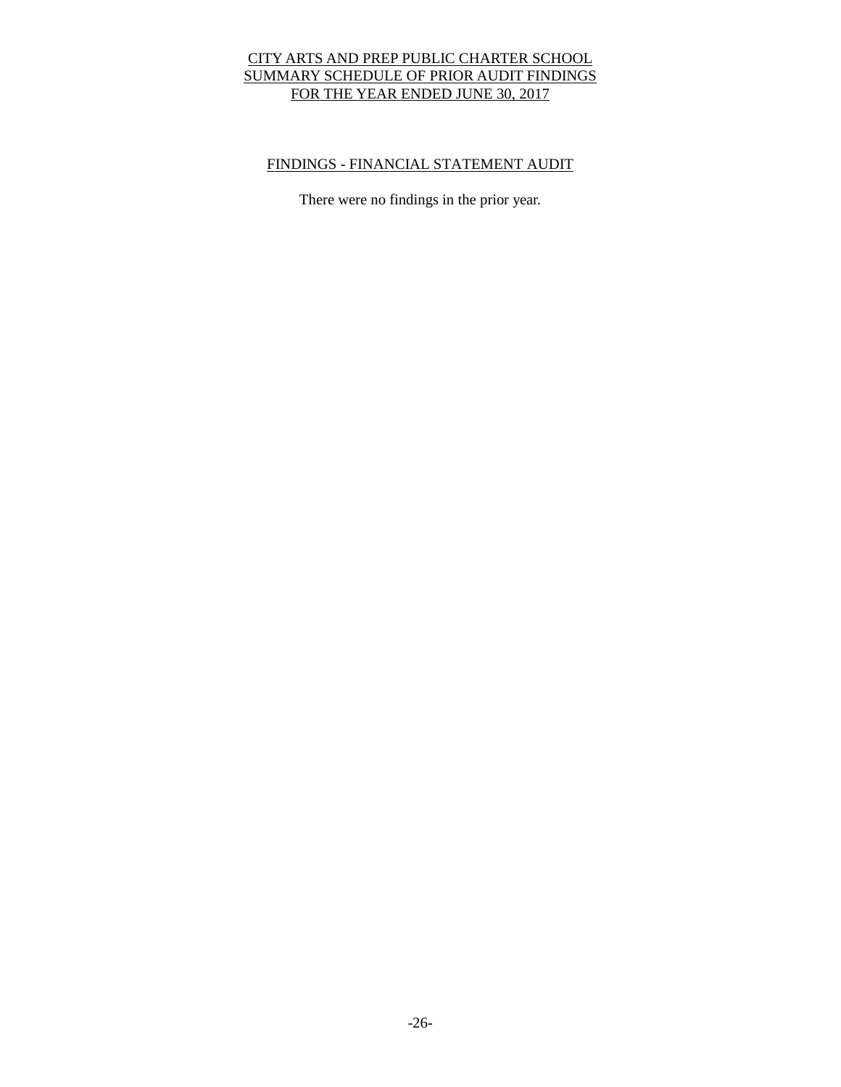# CITY ARTS AND PREP PUBLIC CHARTER SCHOOL SUMMARY SCHEDULE OF PRIOR AUDIT FINDINGS FOR THE YEAR ENDED JUNE 30, 2017

# FINDINGS - FINANCIAL STATEMENT AUDIT

There were no findings in the prior year.